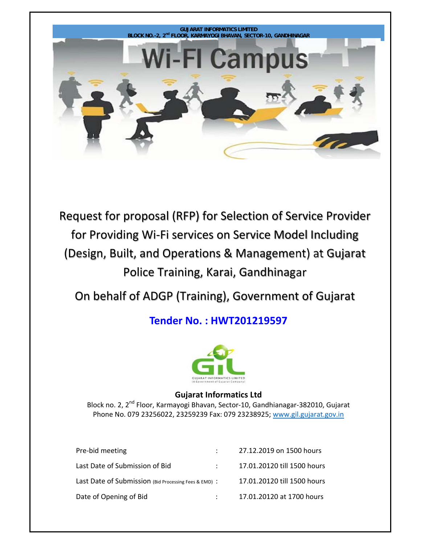

Request for proposal (RFP) for Selection of Service Provider for Providing Wi‐Fi services on Service Model Including (Design, Built, and Operations & Management) at Gujarat Police Training, Karai, Gandhinagar

## On behalf of ADGP (Training), Government of Gujarat

## **Tender No. : HWT201219597**



## **Gujarat Informatics Ltd**

Block no. 2, 2<sup>nd</sup> Floor, Karmayogi Bhavan, Sector-10, Gandhianagar-382010, Gujarat Phone No. 079 23256022, 23259239 Fax: 079 23238925; www.gil.gujarat.gov.in

| Pre-bid meeting                                      | 27.12.2019 on 1500 hours    |
|------------------------------------------------------|-----------------------------|
| Last Date of Submission of Bid                       | 17.01.20120 till 1500 hours |
| Last Date of Submission (Bid Processing Fees & EMD): | 17.01.20120 till 1500 hours |
| Date of Opening of Bid                               | 17.01.20120 at 1700 hours   |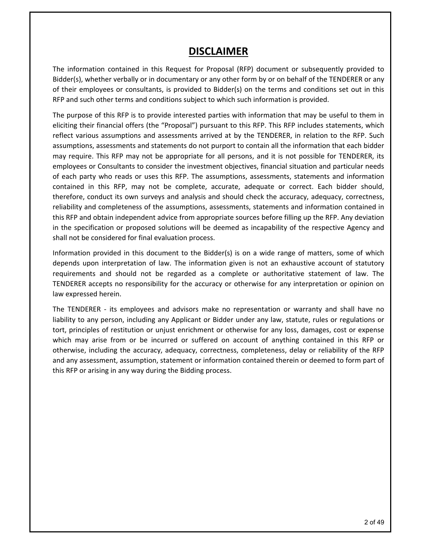## **DISCLAIMER**

The information contained in this Request for Proposal (RFP) document or subsequently provided to Bidder(s), whether verbally or in documentary or any other form by or on behalf of the TENDERER or any of their employees or consultants, is provided to Bidder(s) on the terms and conditions set out in this RFP and such other terms and conditions subject to which such information is provided.

The purpose of this RFP is to provide interested parties with information that may be useful to them in eliciting their financial offers (the "Proposal") pursuant to this RFP. This RFP includes statements, which reflect various assumptions and assessments arrived at by the TENDERER, in relation to the RFP. Such assumptions, assessments and statements do not purport to contain all the information that each bidder may require. This RFP may not be appropriate for all persons, and it is not possible for TENDERER, its employees or Consultants to consider the investment objectives, financial situation and particular needs of each party who reads or uses this RFP. The assumptions, assessments, statements and information contained in this RFP, may not be complete, accurate, adequate or correct. Each bidder should, therefore, conduct its own surveys and analysis and should check the accuracy, adequacy, correctness, reliability and completeness of the assumptions, assessments, statements and information contained in this RFP and obtain independent advice from appropriate sources before filling up the RFP. Any deviation in the specification or proposed solutions will be deemed as incapability of the respective Agency and shall not be considered for final evaluation process.

Information provided in this document to the Bidder(s) is on a wide range of matters, some of which depends upon interpretation of law. The information given is not an exhaustive account of statutory requirements and should not be regarded as a complete or authoritative statement of law. The TENDERER accepts no responsibility for the accuracy or otherwise for any interpretation or opinion on law expressed herein.

The TENDERER - its employees and advisors make no representation or warranty and shall have no liability to any person, including any Applicant or Bidder under any law, statute, rules or regulations or tort, principles of restitution or unjust enrichment or otherwise for any loss, damages, cost or expense which may arise from or be incurred or suffered on account of anything contained in this RFP or otherwise, including the accuracy, adequacy, correctness, completeness, delay or reliability of the RFP and any assessment, assumption, statement or information contained therein or deemed to form part of this RFP or arising in any way during the Bidding process.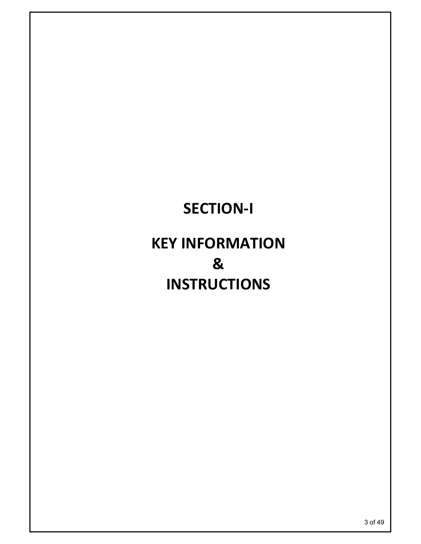# **SECTION‐I**

# **KEY INFORMATION & INSTRUCTIONS**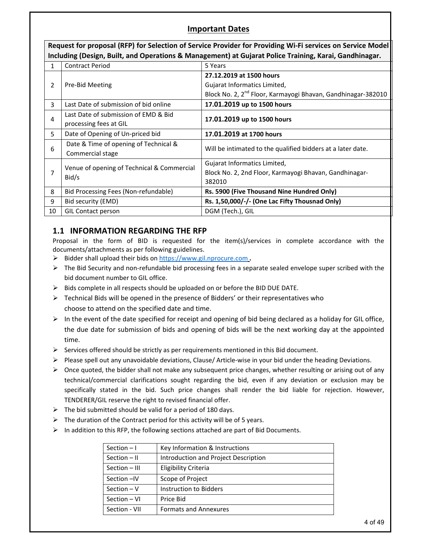#### **Important Dates**

**Request for proposal (RFP) for Selection of Service Provider for Providing Wi‐Fi services on Service Model Including (Design, Built, and Operations & Management) at Gujarat Police Training, Karai, Gandhinagar.** 

|    | <b>Contract Period</b>                     | 5 Years                                                                  |  |
|----|--------------------------------------------|--------------------------------------------------------------------------|--|
|    |                                            | 27.12.2019 at 1500 hours                                                 |  |
| 2  | Pre-Bid Meeting                            | Gujarat Informatics Limited,                                             |  |
|    |                                            | Block No. 2, 2 <sup>nd</sup> Floor, Karmayogi Bhavan, Gandhinagar-382010 |  |
| 3  | Last Date of submission of bid online      | 17.01.2019 up to 1500 hours                                              |  |
|    | Last Date of submission of EMD & Bid       | 17.01.2019 up to 1500 hours                                              |  |
| 4  | processing fees at GIL                     |                                                                          |  |
| 5  | Date of Opening of Un-priced bid           | 17.01.2019 at 1700 hours                                                 |  |
|    | Date & Time of opening of Technical &      |                                                                          |  |
| 6  | Commercial stage                           | Will be intimated to the qualified bidders at a later date.              |  |
|    | Venue of opening of Technical & Commercial | Gujarat Informatics Limited,                                             |  |
| 7  | Bid/s                                      | Block No. 2, 2nd Floor, Karmayogi Bhavan, Gandhinagar-                   |  |
|    |                                            | 382010                                                                   |  |
| 8  | Bid Processing Fees (Non-refundable)       | Rs. 5900 (Five Thousand Nine Hundred Only)                               |  |
| 9  | Bid security (EMD)                         | Rs. 1,50,000/-/- (One Lac Fifty Thousnad Only)                           |  |
| 10 | <b>GIL Contact person</b>                  | DGM (Tech.), GIL                                                         |  |

#### **1.1 INFORMATION REGARDING THE RFP**

Proposal in the form of BID is requested for the item(s)/services in complete accordance with the documents/attachments as per following guidelines.

- Bidder shall upload their bids on https://www.gil.nprocure.com **.**
- The Bid Security and non‐refundable bid processing fees in a separate sealed envelope super scribed with the bid document number to GIL office.
- $\triangleright$  Bids complete in all respects should be uploaded on or before the BID DUE DATE.
- $\triangleright$  Technical Bids will be opened in the presence of Bidders' or their representatives who choose to attend on the specified date and time.
- $\triangleright$  In the event of the date specified for receipt and opening of bid being declared as a holiday for GIL office, the due date for submission of bids and opening of bids will be the next working day at the appointed time.
- $\triangleright$  Services offered should be strictly as per requirements mentioned in this Bid document.
- Please spell out any unavoidable deviations, Clause/ Article‐wise in your bid under the heading Deviations.
- $\triangleright$  Once quoted, the bidder shall not make any subsequent price changes, whether resulting or arising out of any technical/commercial clarifications sought regarding the bid, even if any deviation or exclusion may be specifically stated in the bid. Such price changes shall render the bid liable for rejection. However, TENDERER/GIL reserve the right to revised financial offer.
- $\triangleright$  The bid submitted should be valid for a period of 180 days.
- $\triangleright$  The duration of the Contract period for this activity will be of 5 years.
- $\triangleright$  In addition to this RFP, the following sections attached are part of Bid Documents.

| Section $-1$   | Key Information & Instructions       |
|----------------|--------------------------------------|
| $Section - II$ | Introduction and Project Description |
| Section - III  | <b>Eligibility Criteria</b>          |
| Section -IV    | Scope of Project                     |
| Section $-V$   | Instruction to Bidders               |
| Section - VI   | Price Bid                            |
| Section - VII  | <b>Formats and Annexures</b>         |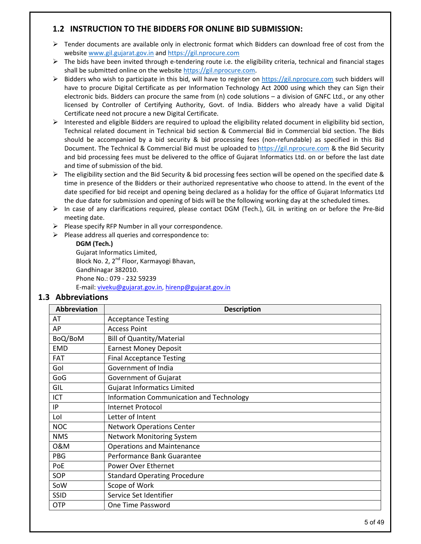#### **1.2 INSTRUCTION TO THE BIDDERS FOR ONLINE BID SUBMISSION:**

- $\triangleright$  Tender documents are available only in electronic format which Bidders can download free of cost from the website www.gil.gujarat.gov.in and https://gil.nprocure.com
- $\triangleright$  The bids have been invited through e-tendering route i.e. the eligibility criteria, technical and financial stages shall be submitted online on the website https://gil.nprocure.com.
- $\triangleright$  Bidders who wish to participate in this bid, will have to register on https://gil.nprocure.com such bidders will have to procure Digital Certificate as per Information Technology Act 2000 using which they can Sign their electronic bids. Bidders can procure the same from (n) code solutions – a division of GNFC Ltd., or any other licensed by Controller of Certifying Authority, Govt. of India. Bidders who already have a valid Digital Certificate need not procure a new Digital Certificate.
- Interested and eligible Bidders are required to upload the eligibility related document in eligibility bid section, Technical related document in Technical bid section & Commercial Bid in Commercial bid section. The Bids should be accompanied by a bid security & bid processing fees (non-refundable) as specified in this Bid Document. The Technical & Commercial Bid must be uploaded to https://gil.nprocure.com & the Bid Security and bid processing fees must be delivered to the office of Gujarat Informatics Ltd. on or before the last date and time of submission of the bid.
- $\triangleright$  The eligibility section and the Bid Security & bid processing fees section will be opened on the specified date & time in presence of the Bidders or their authorized representative who choose to attend. In the event of the date specified for bid receipt and opening being declared as a holiday for the office of Gujarat Informatics Ltd the due date for submission and opening of bids will be the following working day at the scheduled times.
- In case of any clarifications required, please contact DGM (Tech.), GIL in writing on or before the Pre‐Bid meeting date.
- $\triangleright$  Please specify RFP Number in all your correspondence.
- $\triangleright$  Please address all queries and correspondence to:

#### **DGM (Tech.)**  Gujarat Informatics Limited, Block No. 2, 2<sup>nd</sup> Floor, Karmayogi Bhavan, Gandhinagar 382010. Phone No.: 079 ‐ 232 59239 E‐mail: viveku@gujarat.gov.in, hirenp@gujarat.gov.in

#### **1.3 Abbreviations**

| <b>Abbreviation</b> | <b>Description</b>                              |  |
|---------------------|-------------------------------------------------|--|
| AT                  | <b>Acceptance Testing</b>                       |  |
| AP                  | <b>Access Point</b>                             |  |
| BoQ/BoM             | <b>Bill of Quantity/Material</b>                |  |
| <b>EMD</b>          | <b>Earnest Money Deposit</b>                    |  |
| FAT                 | <b>Final Acceptance Testing</b>                 |  |
| Gol                 | Government of India                             |  |
| GoG                 | Government of Gujarat                           |  |
| GIL                 | <b>Gujarat Informatics Limited</b>              |  |
| ICT                 | <b>Information Communication and Technology</b> |  |
| IP                  | <b>Internet Protocol</b>                        |  |
| Lol                 | Letter of Intent                                |  |
| <b>NOC</b>          | <b>Network Operations Center</b>                |  |
| <b>NMS</b>          | <b>Network Monitoring System</b>                |  |
| 0&M                 | <b>Operations and Maintenance</b>               |  |
| <b>PBG</b>          | Performance Bank Guarantee                      |  |
| PoE                 | Power Over Ethernet                             |  |
| SOP                 | <b>Standard Operating Procedure</b>             |  |
| SoW                 | Scope of Work                                   |  |
| <b>SSID</b>         | Service Set Identifier                          |  |
| <b>OTP</b>          | One Time Password                               |  |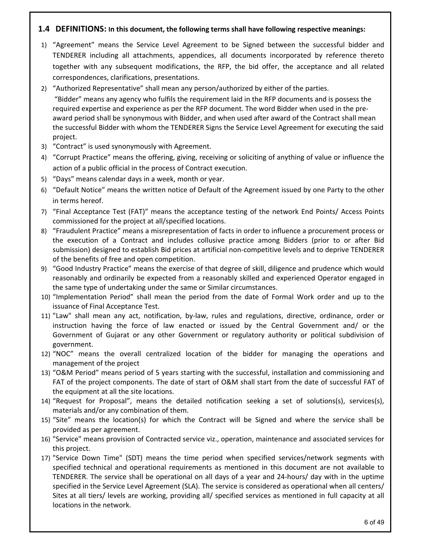#### **1.4 DEFINITIONS: In this document, the following terms shall have following respective meanings:**

- 1) "Agreement" means the Service Level Agreement to be Signed between the successful bidder and TENDERER including all attachments, appendices, all documents incorporated by reference thereto together with any subsequent modifications, the RFP, the bid offer, the acceptance and all related correspondences, clarifications, presentations.
- 2) "Authorized Representative" shall mean any person/authorized by either of the parties. "Bidder" means any agency who fulfils the requirement laid in the RFP documents and is possess the required expertise and experience as per the RFP document. The word Bidder when used in the pre‐ award period shall be synonymous with Bidder, and when used after award of the Contract shall mean the successful Bidder with whom the TENDERER Signs the Service Level Agreement for executing the said project.
- 3) "Contract" is used synonymously with Agreement.
- 4) "Corrupt Practice" means the offering, giving, receiving or soliciting of anything of value or influence the action of a public official in the process of Contract execution.
- 5) "Days" means calendar days in a week, month or year.
- 6) "Default Notice" means the written notice of Default of the Agreement issued by one Party to the other in terms hereof.
- 7) "Final Acceptance Test (FAT)" means the acceptance testing of the network End Points/ Access Points commissioned for the project at all/specified locations.
- 8) "Fraudulent Practice" means a misrepresentation of facts in order to influence a procurement process or the execution of a Contract and includes collusive practice among Bidders (prior to or after Bid submission) designed to establish Bid prices at artificial non‐competitive levels and to deprive TENDERER of the benefits of free and open competition.
- 9) "Good Industry Practice" means the exercise of that degree of skill, diligence and prudence which would reasonably and ordinarily be expected from a reasonably skilled and experienced Operator engaged in the same type of undertaking under the same or Similar circumstances.
- 10) "Implementation Period" shall mean the period from the date of Formal Work order and up to the issuance of Final Acceptance Test.
- 11) "Law" shall mean any act, notification, by-law, rules and regulations, directive, ordinance, order or instruction having the force of law enacted or issued by the Central Government and/ or the Government of Gujarat or any other Government or regulatory authority or political subdivision of government.
- 12) "NOC" means the overall centralized location of the bidder for managing the operations and management of the project
- 13) "O&M Period" means period of 5 years starting with the successful, installation and commissioning and FAT of the project components. The date of start of O&M shall start from the date of successful FAT of the equipment at all the site locations.
- 14) "Request for Proposal", means the detailed notification seeking a set of solutions(s), services(s), materials and/or any combination of them.
- 15) "Site" means the location(s) for which the Contract will be Signed and where the service shall be provided as per agreement.
- 16) "Service" means provision of Contracted service viz., operation, maintenance and associated services for this project.
- 17) "Service Down Time" (SDT) means the time period when specified services/network segments with specified technical and operational requirements as mentioned in this document are not available to TENDERER. The service shall be operational on all days of a year and 24‐hours/ day with in the uptime specified in the Service Level Agreement (SLA). The service is considered as operational when all centers/ Sites at all tiers/ levels are working, providing all/ specified services as mentioned in full capacity at all locations in the network.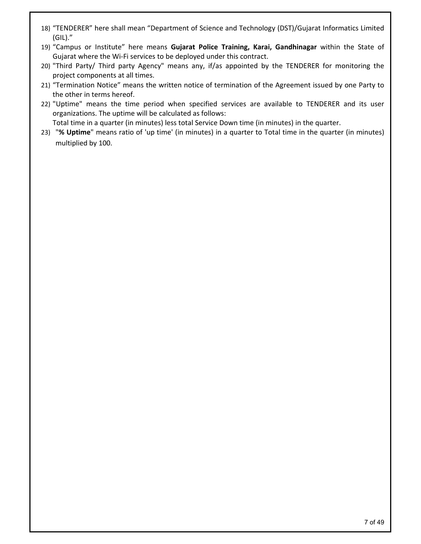- 18) "TENDERER" here shall mean "Department of Science and Technology (DST)/Gujarat Informatics Limited (GIL)."
- 19) "Campus or Institute" here means **Gujarat Police Training, Karai, Gandhinagar** within the State of Gujarat where the Wi‐Fi services to be deployed under this contract.
- 20) "Third Party/ Third party Agency" means any, if/as appointed by the TENDERER for monitoring the project components at all times.
- 21) "Termination Notice" means the written notice of termination of the Agreement issued by one Party to the other in terms hereof.
- 22) "Uptime" means the time period when specified services are available to TENDERER and its user organizations. The uptime will be calculated as follows:

Total time in a quarter (in minutes) less total Service Down time (in minutes) in the quarter.

23) "**% Uptime**" means ratio of 'up time' (in minutes) in a quarter to Total time in the quarter (in minutes) multiplied by 100.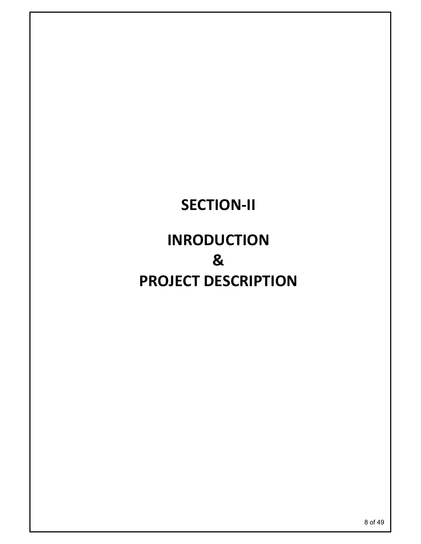# **SECTION‐II**

# **INRODUCTION & PROJECT DESCRIPTION**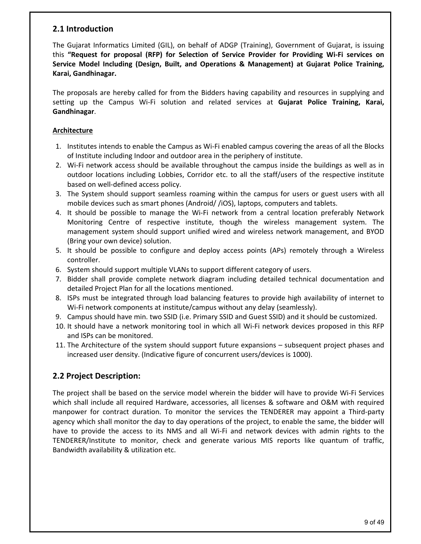### **2.1 Introduction**

The Gujarat Informatics Limited (GIL), on behalf of ADGP (Training), Government of Gujarat, is issuing this **"Request for proposal (RFP) for Selection of Service Provider for Providing Wi‐Fi services on Service Model Including (Design, Built, and Operations & Management) at Gujarat Police Training, Karai, Gandhinagar.** 

The proposals are hereby called for from the Bidders having capability and resources in supplying and setting up the Campus Wi‐Fi solution and related services at **Gujarat Police Training, Karai, Gandhinagar**.

#### **Architecture**

- 1. Institutes intends to enable the Campus as Wi‐Fi enabled campus covering the areas of all the Blocks of Institute including Indoor and outdoor area in the periphery of institute.
- 2. Wi-Fi network access should be available throughout the campus inside the buildings as well as in outdoor locations including Lobbies, Corridor etc. to all the staff/users of the respective institute based on well‐defined access policy.
- 3. The System should support seamless roaming within the campus for users or guest users with all mobile devices such as smart phones (Android/ /iOS), laptops, computers and tablets.
- 4. It should be possible to manage the Wi‐Fi network from a central location preferably Network Monitoring Centre of respective institute, though the wireless management system. The management system should support unified wired and wireless network management, and BYOD (Bring your own device) solution.
- 5. It should be possible to configure and deploy access points (APs) remotely through a Wireless controller.
- 6. System should support multiple VLANs to support different category of users.
- 7. Bidder shall provide complete network diagram including detailed technical documentation and detailed Project Plan for all the locations mentioned.
- 8. ISPs must be integrated through load balancing features to provide high availability of internet to Wi-Fi network components at institute/campus without any delay (seamlessly).
- 9. Campus should have min. two SSID (i.e. Primary SSID and Guest SSID) and it should be customized.
- 10. It should have a network monitoring tool in which all Wi‐Fi network devices proposed in this RFP and ISPs can be monitored.
- 11. The Architecture of the system should support future expansions subsequent project phases and increased user density. (Indicative figure of concurrent users/devices is 1000).

## **2.2 Project Description:**

The project shall be based on the service model wherein the bidder will have to provide Wi‐Fi Services which shall include all required Hardware, accessories, all licenses & software and O&M with required manpower for contract duration. To monitor the services the TENDERER may appoint a Third-party agency which shall monitor the day to day operations of the project, to enable the same, the bidder will have to provide the access to its NMS and all Wi-Fi and network devices with admin rights to the TENDERER/Institute to monitor, check and generate various MIS reports like quantum of traffic, Bandwidth availability & utilization etc.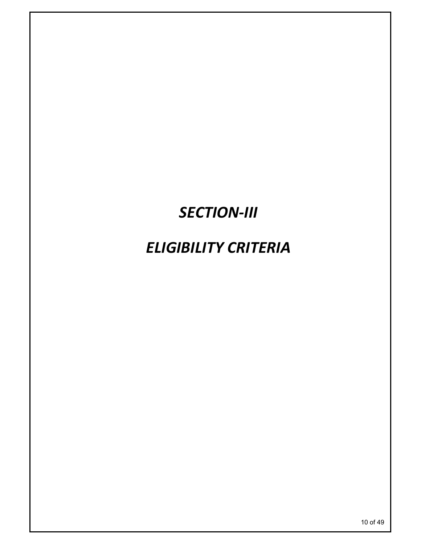## *SECTION‐III*

## *ELIGIBILITY CRITERIA*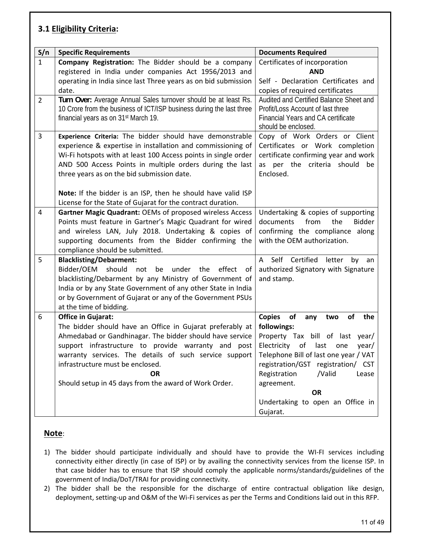## **3.1 Eligibility Criteria:**

| S/n            | <b>Specific Requirements</b>                                         | <b>Documents Required</b>                                 |
|----------------|----------------------------------------------------------------------|-----------------------------------------------------------|
| $\mathbf{1}$   | Company Registration: The Bidder should be a company                 | Certificates of incorporation                             |
|                | registered in India under companies Act 1956/2013 and                | <b>AND</b>                                                |
|                | operating in India since last Three years as on bid submission       | Self - Declaration Certificates and                       |
|                | date.                                                                | copies of required certificates                           |
| $\overline{2}$ | Turn Over: Average Annual Sales turnover should be at least Rs.      | Audited and Certified Balance Sheet and                   |
|                | 10 Crore from the business of ICT/ISP business during the last three | Profit/Loss Account of last three                         |
|                | financial years as on 31 <sup>st</sup> March 19.                     | Financial Years and CA certificate<br>should be enclosed. |
| 3              | Experience Criteria: The bidder should have demonstrable             | Copy of Work Orders or Client                             |
|                |                                                                      |                                                           |
|                | experience & expertise in installation and commissioning of          | Certificates or Work completion                           |
|                | Wi-Fi hotspots with at least 100 Access points in single order       | certificate confirming year and work                      |
|                | AND 500 Access Points in multiple orders during the last             | per the criteria should be<br>as                          |
|                | three years as on the bid submission date.                           | Enclosed.                                                 |
|                |                                                                      |                                                           |
|                | Note: If the bidder is an ISP, then he should have valid ISP         |                                                           |
|                | License for the State of Gujarat for the contract duration.          |                                                           |
| $\overline{4}$ | Gartner Magic Quadrant: OEMs of proposed wireless Access             | Undertaking & copies of supporting                        |
|                | Points must feature in Gartner's Magic Quadrant for wired            | documents<br>from<br>the<br>Bidder                        |
|                | and wireless LAN, July 2018. Undertaking & copies of                 | confirming the compliance along                           |
|                | supporting documents from the Bidder confirming the                  | with the OEM authorization.                               |
|                | compliance should be submitted.                                      |                                                           |
| 5              | <b>Blacklisting/Debarment:</b>                                       | A Self Certified letter<br>by an                          |
|                | Bidder/OEM<br>should<br>effect<br>not<br>be<br>under<br>the<br>of    | authorized Signatory with Signature                       |
|                | blacklisting/Debarment by any Ministry of Government of              | and stamp.                                                |
|                | India or by any State Government of any other State in India         |                                                           |
|                | or by Government of Gujarat or any of the Government PSUs            |                                                           |
|                | at the time of bidding.                                              |                                                           |
| 6              | <b>Office in Gujarat:</b>                                            | <b>Copies</b><br>of<br>of<br>the<br>any<br>two            |
|                | The bidder should have an Office in Gujarat preferably at            | followings:                                               |
|                | Ahmedabad or Gandhinagar. The bidder should have service             | Property Tax<br>bill of last year/                        |
|                | support infrastructure to provide warranty and post                  | Electricity<br>of<br>last<br>year/<br>one                 |
|                | warranty services. The details of such service support               | Telephone Bill of last one year / VAT                     |
|                | infrastructure must be enclosed.                                     | registration/GST registration/ CST                        |
|                | <b>OR</b>                                                            | /Valid<br>Registration<br>Lease                           |
|                | Should setup in 45 days from the award of Work Order.                | agreement.                                                |
|                |                                                                      | <b>OR</b>                                                 |
|                |                                                                      | Undertaking to open an Office in                          |
|                |                                                                      | Gujarat.                                                  |

#### **Note**:

- 1) The bidder should participate individually and should have to provide the WI‐FI services including connectivity either directly (in case of ISP) or by availing the connectivity services from the license ISP. In that case bidder has to ensure that ISP should comply the applicable norms/standards/guidelines of the government of India/DoT/TRAI for providing connectivity.
- 2) The bidder shall be the responsible for the discharge of entire contractual obligation like design, deployment, setting‐up and O&M of the Wi‐Fi services as per the Terms and Conditions laid out in this RFP.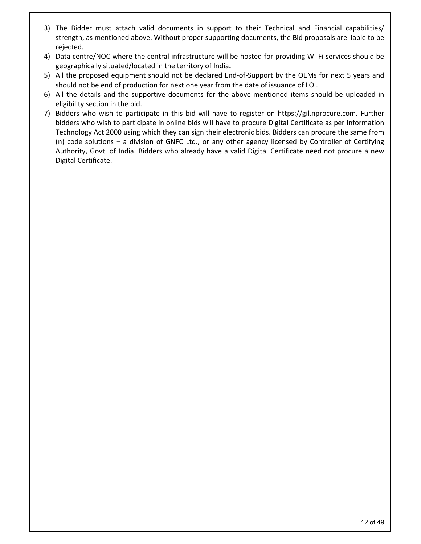- 3) The Bidder must attach valid documents in support to their Technical and Financial capabilities/ strength, as mentioned above. Without proper supporting documents, the Bid proposals are liable to be rejected.
- 4) Data centre/NOC where the central infrastructure will be hosted for providing Wi-Fi services should be geographically situated/located in the territory of India**.**
- 5) All the proposed equipment should not be declared End-of-Support by the OEMs for next 5 years and should not be end of production for next one year from the date of issuance of LOI.
- 6) All the details and the supportive documents for the above-mentioned items should be uploaded in eligibility section in the bid.
- 7) Bidders who wish to participate in this bid will have to register on https://gil.nprocure.com. Further bidders who wish to participate in online bids will have to procure Digital Certificate as per Information Technology Act 2000 using which they can sign their electronic bids. Bidders can procure the same from (n) code solutions – a division of GNFC Ltd., or any other agency licensed by Controller of Certifying Authority, Govt. of India. Bidders who already have a valid Digital Certificate need not procure a new Digital Certificate.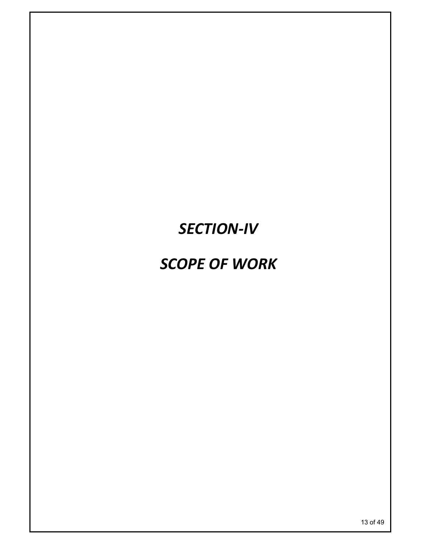## *SECTION‐IV*

## *SCOPE OF WORK*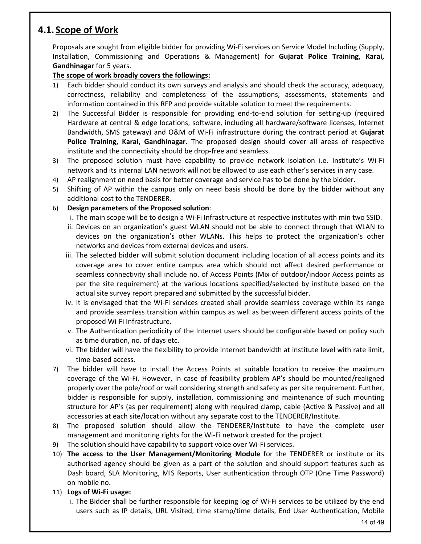## **4.1. Scope of Work**

Proposals are sought from eligible bidder for providing Wi‐Fi services on Service Model Including (Supply, Installation, Commissioning and Operations & Management) for **Gujarat Police Training, Karai, Gandhinagar** for 5 years.

#### **The scope of work broadly covers the followings:**

- 1) Each bidder should conduct its own surveys and analysis and should check the accuracy, adequacy, correctness, reliability and completeness of the assumptions, assessments, statements and information contained in this RFP and provide suitable solution to meet the requirements.
- 2) The Successful Bidder is responsible for providing end-to-end solution for setting-up (required Hardware at central & edge locations, software, including all hardware/software licenses, Internet Bandwidth, SMS gateway) and O&M of Wi‐Fi infrastructure during the contract period at **Gujarat Police Training, Karai, Gandhinagar**. The proposed design should cover all areas of respective institute and the connectivity should be drop‐free and seamless.
- 3) The proposed solution must have capability to provide network isolation i.e. Institute's Wi‐Fi network and its internal LAN network will not be allowed to use each other's services in any case.
- 4) AP realignment on need basis for better coverage and service has to be done by the bidder.
- 5) Shifting of AP within the campus only on need basis should be done by the bidder without any additional cost to the TENDERER.

#### 6) **Design parameters of the Proposed solution**:

- i. The main scope will be to design a Wi‐Fi Infrastructure at respective institutes with min two SSID.
- ii. Devices on an organization's guest WLAN should not be able to connect through that WLAN to devices on the organization's other WLANs. This helps to protect the organization's other networks and devices from external devices and users.
- iii. The selected bidder will submit solution document including location of all access points and its coverage area to cover entire campus area which should not affect desired performance or seamless connectivity shall include no. of Access Points (Mix of outdoor/indoor Access points as per the site requirement) at the various locations specified/selected by institute based on the actual site survey report prepared and submitted by the successful bidder.
- iv. It is envisaged that the Wi-Fi services created shall provide seamless coverage within its range and provide seamless transition within campus as well as between different access points of the proposed Wi‐Fi Infrastructure.
- v. The Authentication periodicity of the Internet users should be configurable based on policy such as time duration, no. of days etc.
- vi. The bidder will have the flexibility to provide internet bandwidth at institute level with rate limit, time‐based access.
- 7) The bidder will have to install the Access Points at suitable location to receive the maximum coverage of the Wi‐Fi. However, in case of feasibility problem AP's should be mounted/realigned properly over the pole/roof or wall considering strength and safety as per site requirement. Further, bidder is responsible for supply, installation, commissioning and maintenance of such mounting structure for AP's (as per requirement) along with required clamp, cable (Active & Passive) and all accessories at each site/location without any separate cost to the TENDERER/Institute.
- 8) The proposed solution should allow the TENDERER/Institute to have the complete user management and monitoring rights for the Wi‐Fi network created for the project.
- 9) The solution should have capability to support voice over Wi-Fi services.
- 10) **The access to the User Management/Monitoring Module** for the TENDERER or institute or its authorised agency should be given as a part of the solution and should support features such as Dash board, SLA Monitoring, MIS Reports, User authentication through OTP (One Time Password) on mobile no.
- 11) **Logs of Wi‐Fi usage:**
	- i. The Bidder shall be further responsible for keeping log of Wi‐Fi services to be utilized by the end users such as IP details, URL Visited, time stamp/time details, End User Authentication, Mobile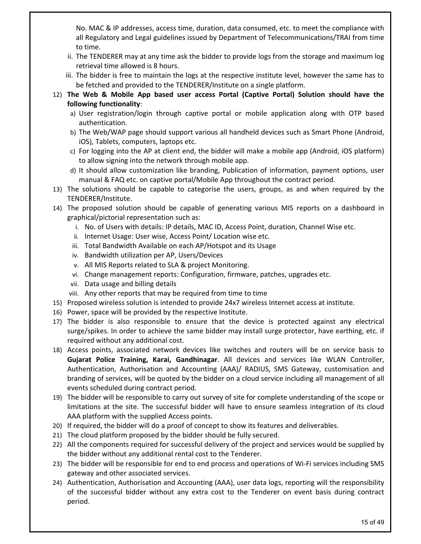No. MAC & IP addresses, access time, duration, data consumed, etc. to meet the compliance with all Regulatory and Legal guidelines issued by Department of Telecommunications/TRAI from time to time.

- ii. The TENDERER may at any time ask the bidder to provide logs from the storage and maximum log retrieval time allowed is 8 hours.
- iii. The bidder is free to maintain the logs at the respective institute level, however the same has to be fetched and provided to the TENDERER/Institute on a single platform.
- 12) **The Web & Mobile App based user access Portal (Captive Portal) Solution should have the following functionality**:
	- a) User registration/login through captive portal or mobile application along with OTP based authentication.
	- b) The Web/WAP page should support various all handheld devices such as Smart Phone (Android, iOS), Tablets, computers, laptops etc.
	- c) For logging into the AP at client end, the bidder will make a mobile app (Android, iOS platform) to allow signing into the network through mobile app.
	- d) It should allow customization like branding, Publication of information, payment options, user manual & FAQ etc. on captive portal/Mobile App throughout the contract period.
- 13) The solutions should be capable to categorise the users, groups, as and when required by the TENDERER/Institute.
- 14) The proposed solution should be capable of generating various MIS reports on a dashboard in graphical/pictorial representation such as:
	- i. No. of Users with details: IP details, MAC ID, Access Point, duration, Channel Wise etc.
	- ii. Internet Usage: User wise, Access Point/ Location wise etc.
	- iii. Total Bandwidth Available on each AP/Hotspot and its Usage
	- iv. Bandwidth utilization per AP, Users/Devices
	- v. All MIS Reports related to SLA & project Monitoring.
	- vi. Change management reports: Configuration, firmware, patches, upgrades etc.
	- vii. Data usage and billing details
	- viii. Any other reports that may be required from time to time
- 15) Proposed wireless solution is intended to provide 24x7 wireless Internet access at institute.
- 16) Power, space will be provided by the respective Institute.
- 17) The bidder is also responsible to ensure that the device is protected against any electrical surge/spikes. In order to achieve the same bidder may install surge protector, have earthing, etc. if required without any additional cost.
- 18) Access points, associated network devices like switches and routers will be on service basis to **Gujarat Police Training, Karai, Gandhinagar**. All devices and services like WLAN Controller, Authentication, Authorisation and Accounting (AAA)/ RADIUS, SMS Gateway, customisation and branding of services, will be quoted by the bidder on a cloud service including all management of all events scheduled during contract period.
- 19) The bidder will be responsible to carry out survey of site for complete understanding of the scope or limitations at the site. The successful bidder will have to ensure seamless integration of its cloud AAA platform with the supplied Access points.
- 20) If required, the bidder will do a proof of concept to show its features and deliverables.
- 21) The cloud platform proposed by the bidder should be fully secured.
- 22) All the components required for successful delivery of the project and services would be supplied by the bidder without any additional rental cost to the Tenderer.
- 23) The bidder will be responsible for end to end process and operations of Wi-Fi services including SMS gateway and other associated services.
- 24) Authentication, Authorisation and Accounting (AAA), user data logs, reporting will the responsibility of the successful bidder without any extra cost to the Tenderer on event basis during contract period.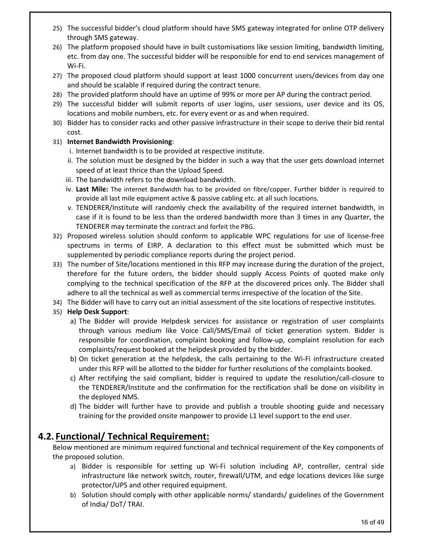- 25) The successful bidder's cloud platform should have SMS gateway integrated for online OTP delivery through SMS gateway.
- 26) The platform proposed should have in built customisations like session limiting, bandwidth limiting, etc. from day one. The successful bidder will be responsible for end to end services management of Wi‐Fi.
- 27) The proposed cloud platform should support at least 1000 concurrent users/devices from day one and should be scalable if required during the contract tenure.
- 28) The provided platform should have an uptime of 99% or more per AP during the contract period.
- 29) The successful bidder will submit reports of user logins, user sessions, user device and its OS, locations and mobile numbers, etc. for every event or as and when required.
- 30) Bidder has to consider racks and other passive infrastructure in their scope to derive their bid rental cost.

#### 31) **Internet Bandwidth Provisioning**:

- i. Internet bandwidth is to be provided at respective institute.
- ii. The solution must be designed by the bidder in such a way that the user gets download internet speed of at least thrice than the Upload Speed.
- iii. The bandwidth refers to the download bandwidth.
- iv. **Last Mile:** The internet Bandwidth has to be provided on fibre/copper. Further bidder is required to provide all last mile equipment active & passive cabling etc. at all such locations.
- v. TENDERER/Institute will randomly check the availability of the required internet bandwidth, in case if it is found to be less than the ordered bandwidth more than 3 times in any Quarter, the TENDERER may terminate the contract and forfeit the PBG.
- 32) Proposed wireless solution should conform to applicable WPC regulations for use of license‐free spectrums in terms of EIRP. A declaration to this effect must be submitted which must be supplemented by periodic compliance reports during the project period.
- 33) The number of Site/locations mentioned in this RFP may increase during the duration of the project, therefore for the future orders, the bidder should supply Access Points of quoted make only complying to the technical specification of the RFP at the discovered prices only. The Bidder shall adhere to all the technical as well as commercial terms irrespective of the location of the Site.
- 34) The Bidder will have to carry out an initial assessment of the site locations of respective institutes.
- 35) **Help Desk Support**:
	- a) The Bidder will provide Helpdesk services for assistance or registration of user complaints through various medium like Voice Call/SMS/Email of ticket generation system. Bidder is responsible for coordination, complaint booking and follow-up, complaint resolution for each complaints/request booked at the helpdesk provided by the bidder.
	- b) On ticket generation at the helpdesk, the calls pertaining to the Wi-Fi infrastructure created under this RFP will be allotted to the bidder for further resolutions of the complaints booked.
	- c) After rectifying the said compliant, bidder is required to update the resolution/call‐closure to the TENDERER/Institute and the confirmation for the rectification shall be done on visibility in the deployed NMS.
	- d) The bidder will further have to provide and publish a trouble shooting guide and necessary training for the provided onsite manpower to provide L1 level support to the end user.

## **4.2. Functional/ Technical Requirement:**

Below mentioned are minimum required functional and technical requirement of the Key components of the proposed solution.

- a) Bidder is responsible for setting up Wi-Fi solution including AP, controller, central side infrastructure like network switch, router, firewall/UTM, and edge locations devices like surge protector/UPS and other required equipment.
- b) Solution should comply with other applicable norms/ standards/ guidelines of the Government of India/ DoT/ TRAI.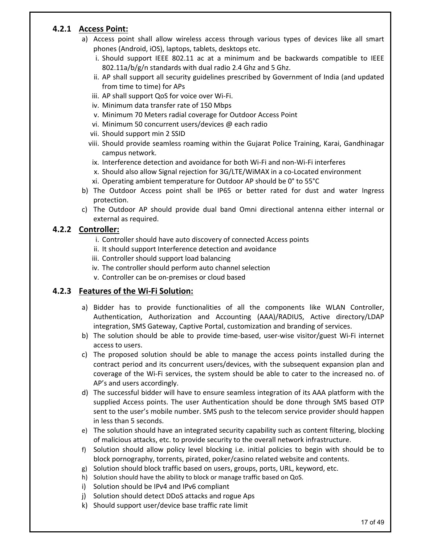### **4.2.1 Access Point:**

- a) Access point shall allow wireless access through various types of devices like all smart phones (Android, iOS), laptops, tablets, desktops etc.
	- i. Should support IEEE 802.11 ac at a minimum and be backwards compatible to IEEE 802.11a/b/g/n standards with dual radio 2.4 Ghz and 5 Ghz.
	- ii. AP shall support all security guidelines prescribed by Government of India (and updated from time to time) for APs
	- iii. AP shall support QoS for voice over Wi‐Fi.
	- iv. Minimum data transfer rate of 150 Mbps
	- v. Minimum 70 Meters radial coverage for Outdoor Access Point
	- vi. Minimum 50 concurrent users/devices @ each radio
	- vii. Should support min 2 SSID
	- viii. Should provide seamless roaming within the Gujarat Police Training, Karai, Gandhinagar campus network.
	- ix. Interference detection and avoidance for both Wi‐Fi and non‐Wi‐Fi interferes
	- x. Should also allow Signal rejection for 3G/LTE/WiMAX in a co‐Located environment
	- xi. Operating ambient temperature for Outdoor AP should be 0° to 55°C
- b) The Outdoor Access point shall be IP65 or better rated for dust and water Ingress protection.
- c) The Outdoor AP should provide dual band Omni directional antenna either internal or external as required.

## **4.2.2 Controller:**

- i. Controller should have auto discovery of connected Access points
- ii. It should support Interference detection and avoidance
- iii. Controller should support load balancing
- iv. The controller should perform auto channel selection
- v. Controller can be on‐premises or cloud based

## **4.2.3 Features of the Wi‐Fi Solution:**

- a) Bidder has to provide functionalities of all the components like WLAN Controller, Authentication, Authorization and Accounting (AAA)/RADIUS, Active directory/LDAP integration, SMS Gateway, Captive Portal, customization and branding of services.
- b) The solution should be able to provide time-based, user-wise visitor/guest Wi-Fi internet access to users.
- c) The proposed solution should be able to manage the access points installed during the contract period and its concurrent users/devices, with the subsequent expansion plan and coverage of the Wi-Fi services, the system should be able to cater to the increased no. of AP's and users accordingly.
- d) The successful bidder will have to ensure seamless integration of its AAA platform with the supplied Access points. The user Authentication should be done through SMS based OTP sent to the user's mobile number. SMS push to the telecom service provider should happen in less than 5 seconds.
- e) The solution should have an integrated security capability such as content filtering, blocking of malicious attacks, etc. to provide security to the overall network infrastructure.
- f) Solution should allow policy level blocking i.e. initial policies to begin with should be to block pornography, torrents, pirated, poker/casino related website and contents.
- g) Solution should block traffic based on users, groups, ports, URL, keyword, etc.
- h) Solution should have the ability to block or manage traffic based on QoS.
- i) Solution should be IPv4 and IPv6 compliant
- j) Solution should detect DDoS attacks and rogue Aps
- k) Should support user/device base traffic rate limit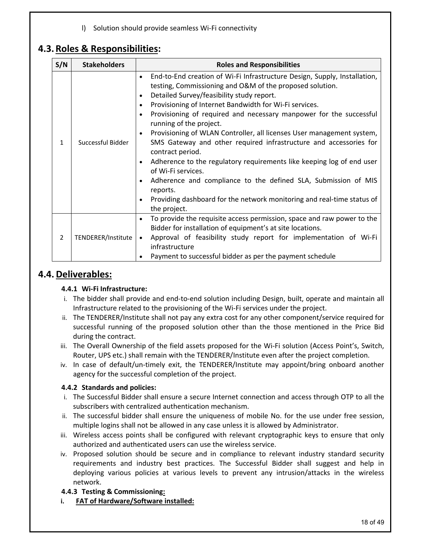l) Solution should provide seamless Wi‐Fi connectivity

## **4.3.Roles & Responsibilities:**

| S/N           | <b>Stakeholders</b> | <b>Roles and Responsibilities</b>                                                                                                                                                                                                                                                                                                                                                                                                                                                                                                                                                                                                                                                                                                                                                                                                                                                              |  |  |
|---------------|---------------------|------------------------------------------------------------------------------------------------------------------------------------------------------------------------------------------------------------------------------------------------------------------------------------------------------------------------------------------------------------------------------------------------------------------------------------------------------------------------------------------------------------------------------------------------------------------------------------------------------------------------------------------------------------------------------------------------------------------------------------------------------------------------------------------------------------------------------------------------------------------------------------------------|--|--|
| $\mathbf{1}$  | Successful Bidder   | End-to-End creation of Wi-Fi Infrastructure Design, Supply, Installation,<br>$\bullet$<br>testing, Commissioning and O&M of the proposed solution.<br>Detailed Survey/feasibility study report.<br>$\bullet$<br>Provisioning of Internet Bandwidth for Wi-Fi services.<br>$\bullet$<br>Provisioning of required and necessary manpower for the successful<br>$\bullet$<br>running of the project.<br>Provisioning of WLAN Controller, all licenses User management system,<br>$\bullet$<br>SMS Gateway and other required infrastructure and accessories for<br>contract period.<br>Adherence to the regulatory requirements like keeping log of end user<br>$\bullet$<br>of Wi-Fi services.<br>Adherence and compliance to the defined SLA, Submission of MIS<br>$\bullet$<br>reports.<br>Providing dashboard for the network monitoring and real-time status of<br>$\bullet$<br>the project. |  |  |
| $\mathcal{P}$ | TENDERER/Institute  | To provide the requisite access permission, space and raw power to the<br>$\bullet$<br>Bidder for installation of equipment's at site locations.<br>Approval of feasibility study report for implementation of Wi-Fi<br>$\bullet$<br>infrastructure<br>Payment to successful bidder as per the payment schedule                                                                                                                                                                                                                                                                                                                                                                                                                                                                                                                                                                                |  |  |

## **4.4. Deliverables:**

#### **4.4.1 Wi‐Fi Infrastructure:**

- i. The bidder shall provide and end-to-end solution including Design, built, operate and maintain all Infrastructure related to the provisioning of the Wi‐Fi services under the project.
- ii. The TENDERER/Institute shall not pay any extra cost for any other component/service required for successful running of the proposed solution other than the those mentioned in the Price Bid during the contract.
- iii. The Overall Ownership of the field assets proposed for the Wi‐Fi solution (Access Point's, Switch, Router, UPS etc.) shall remain with the TENDERER/Institute even after the project completion.
- iv. In case of default/un‐timely exit, the TENDERER/Institute may appoint/bring onboard another agency for the successful completion of the project.

#### **4.4.2 Standards and policies:**

- i. The Successful Bidder shall ensure a secure Internet connection and access through OTP to all the subscribers with centralized authentication mechanism.
- ii. The successful bidder shall ensure the uniqueness of mobile No. for the use under free session, multiple logins shall not be allowed in any case unless it is allowed by Administrator.
- iii. Wireless access points shall be configured with relevant cryptographic keys to ensure that only authorized and authenticated users can use the wireless service.
- iv. Proposed solution should be secure and in compliance to relevant industry standard security requirements and industry best practices. The Successful Bidder shall suggest and help in deploying various policies at various levels to prevent any intrusion/attacks in the wireless network.

#### **4.4.3 Testing & Commissioning:**

**i. FAT of Hardware/Software installed:**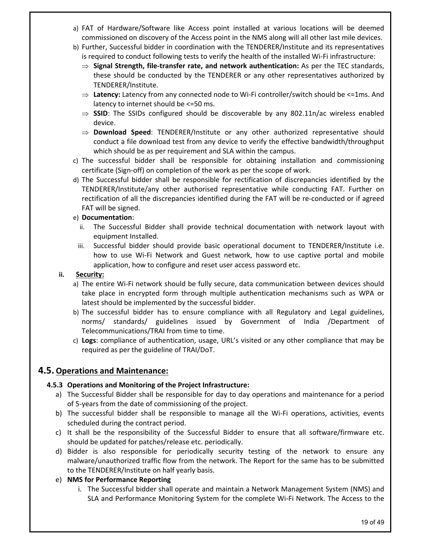- a) FAT of Hardware/Software like Access point installed at various locations will be deemed commissioned on discovery of the Access point in the NMS along will all other last mile devices.
- b) Further, Successful bidder in coordination with the TENDERER/Institute and its representatives is required to conduct following tests to verify the health of the installed Wi‐Fi infrastructure:
	- **Signal Strength, file‐transfer rate, and network authentication:** As per the TEC standards, these should be conducted by the TENDERER or any other representatives authorized by TENDERER/Institute.
	- $\Rightarrow$  Latency: Latency from any connected node to Wi-Fi controller/switch should be <=1ms. And latency to internet should be <=50 ms.
	- $\Rightarrow$  **SSID**: The SSIDs configured should be discoverable by any 802.11n/ac wireless enabled device.
	- $\Rightarrow$  **Download Speed**: TENDERER/Institute or any other authorized representative should conduct a file download test from any device to verify the effective bandwidth/throughput which should be as per requirement and SLA within the campus.
- c) The successful bidder shall be responsible for obtaining installation and commissioning certificate (Sign‐off) on completion of the work as per the scope of work.
- d) The Successful bidder shall be responsible for rectification of discrepancies identified by the TENDERER/Institute/any other authorised representative while conducting FAT. Further on rectification of all the discrepancies identified during the FAT will be re-conducted or if agreed FAT will be signed.

#### e) **Documentation**:

- ii. The Successful Bidder shall provide technical documentation with network layout with equipment Installed.
- iii. Successful bidder should provide basic operational document to TENDERER/Institute i.e. how to use Wi-Fi Network and Guest network, how to use captive portal and mobile application, how to configure and reset user access password etc.

#### **ii. Security:**

- a) The entire Wi-Fi network should be fully secure, data communication between devices should take place in encrypted form through multiple authentication mechanisms such as WPA or latest should be implemented by the successful bidder.
- b) The successful bidder has to ensure compliance with all Regulatory and Legal guidelines, norms/ standards/ guidelines issued by Government of India /Department of Telecommunications/TRAI from time to time.
- c) **Logs**: compliance of authentication, usage, URL's visited or any other compliance that may be required as per the guideline of TRAI/DoT.

## **4.5. Operations and Maintenance:**

#### **4.5.3 Operations and Monitoring of the Project Infrastructure:**

- a) The Successful Bidder shall be responsible for day to day operations and maintenance for a period of 5‐years from the date of commissioning of the project.
- b) The successful bidder shall be responsible to manage all the Wi-Fi operations, activities, events scheduled during the contract period.
- c) It shall be the responsibility of the Successful Bidder to ensure that all software/firmware etc. should be updated for patches/release etc. periodically.
- d) Bidder is also responsible for periodically security testing of the network to ensure any malware/unauthorized traffic flow from the network. The Report for the same has to be submitted to the TENDERER/Institute on half yearly basis.

#### e) **NMS for Performance Reporting**

i. The Successful bidder shall operate and maintain a Network Management System (NMS) and SLA and Performance Monitoring System for the complete Wi‐Fi Network. The Access to the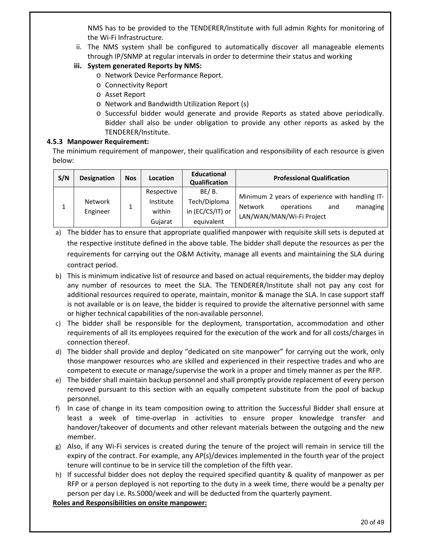NMS has to be provided to the TENDERER/Institute with full admin Rights for monitoring of the Wi‐Fi Infrastructure.

ii. The NMS system shall be configured to automatically discover all manageable elements through IP/SNMP at regular intervals in order to determine their status and working

#### **iii. System generated Reports by NMS:**

- o Network Device Performance Report.
- o Connectivity Report
- o Asset Report
- o Network and Bandwidth Utilization Report (s)
- o Successful bidder would generate and provide Reports as stated above periodically. Bidder shall also be under obligation to provide any other reports as asked by the TENDERER/Institute.

#### **4.5.3 Manpower Requirement:**

The minimum requirement of manpower, their qualification and responsibility of each resource is given below:

| S/N | <b>Designation</b>  | <b>Nos</b> | Location                                     | Educational<br>Qualification                            | <b>Professional Qualification</b>                                                                                        |
|-----|---------------------|------------|----------------------------------------------|---------------------------------------------------------|--------------------------------------------------------------------------------------------------------------------------|
|     | Network<br>Engineer |            | Respective<br>Institute<br>within<br>Gujarat | BE/B.<br>Tech/Diploma<br>in (EC/CS/IT) or<br>equivalent | Minimum 2 years of experience with handling IT-<br>Network<br>operations<br>managing<br>and<br>LAN/WAN/MAN/Wi-Fi Project |

a) The bidder has to ensure that appropriate qualified manpower with requisite skill sets is deputed at the respective institute defined in the above table. The bidder shall depute the resources as per the requirements for carrying out the O&M Activity, manage all events and maintaining the SLA during contract period.

- b) This is minimum indicative list of resource and based on actual requirements, the bidder may deploy any number of resources to meet the SLA. The TENDERER/Institute shall not pay any cost for additional resources required to operate, maintain, monitor & manage the SLA. In case support staff is not available or is on leave, the bidder is required to provide the alternative personnel with same or higher technical capabilities of the non‐available personnel.
- c) The bidder shall be responsible for the deployment, transportation, accommodation and other requirements of all its employees required for the execution of the work and for all costs/charges in connection thereof.
- d) The bidder shall provide and deploy "dedicated on site manpower" for carrying out the work, only those manpower resources who are skilled and experienced in their respective trades and who are competent to execute or manage/supervise the work in a proper and timely manner as per the RFP.
- e) The bidder shall maintain backup personnel and shall promptly provide replacement of every person removed pursuant to this section with an equally competent substitute from the pool of backup personnel.
- f) In case of change in its team composition owing to attrition the Successful Bidder shall ensure at least a week of time-overlap in activities to ensure proper knowledge transfer and handover/takeover of documents and other relevant materials between the outgoing and the new member.
- g) Also, if any Wi-Fi services is created during the tenure of the project will remain in service till the expiry of the contract. For example, any AP(s)/devices implemented in the fourth year of the project tenure will continue to be in service till the completion of the fifth year.
- h) If successful bidder does not deploy the required specified quantity & quality of manpower as per RFP or a person deployed is not reporting to the duty in a week time, there would be a penalty per person per day i.e. Rs.5000/week and will be deducted from the quarterly payment.

#### **Roles and Responsibilities on onsite manpower:**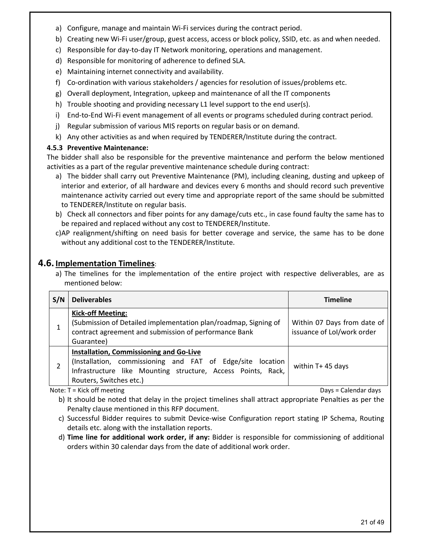- a) Configure, manage and maintain Wi‐Fi services during the contract period.
- b) Creating new Wi-Fi user/group, guest access, access or block policy, SSID, etc. as and when needed.
- c) Responsible for day‐to‐day IT Network monitoring, operations and management.
- d) Responsible for monitoring of adherence to defined SLA.
- e) Maintaining internet connectivity and availability.
- f) Co-ordination with various stakeholders / agencies for resolution of issues/problems etc.
- g) Overall deployment, Integration, upkeep and maintenance of all the IT components
- h) Trouble shooting and providing necessary L1 level support to the end user(s).
- i) End-to-End Wi-Fi event management of all events or programs scheduled during contract period.
- j) Regular submission of various MIS reports on regular basis or on demand.
- k) Any other activities as and when required by TENDERER/Institute during the contract.

#### **4.5.3 Preventive Maintenance:**

The bidder shall also be responsible for the preventive maintenance and perform the below mentioned activities as a part of the regular preventive maintenance schedule during contract: 

- a) The bidder shall carry out Preventive Maintenance (PM), including cleaning, dusting and upkeep of interior and exterior, of all hardware and devices every 6 months and should record such preventive maintenance activity carried out every time and appropriate report of the same should be submitted to TENDERER/Institute on regular basis.
- b) Check all connectors and fiber points for any damage/cuts etc., in case found faulty the same has to be repaired and replaced without any cost to TENDERER/Institute.
- c)AP realignment/shifting on need basis for better coverage and service, the same has to be done without any additional cost to the TENDERER/Institute.

#### **4.6. Implementation Timelines**:

a) The timelines for the implementation of the entire project with respective deliverables, are as mentioned below:

| S/N | <b>Deliverables</b>                                                                                                                                                                                     | <b>Timeline</b>                                           |
|-----|---------------------------------------------------------------------------------------------------------------------------------------------------------------------------------------------------------|-----------------------------------------------------------|
|     | <b>Kick-off Meeting:</b><br>(Submission of Detailed implementation plan/roadmap, Signing of<br>contract agreement and submission of performance Bank<br>Guarantee)                                      | Within 07 Days from date of<br>issuance of Lol/work order |
| 2   | <b>Installation, Commissioning and Go-Live</b><br>(Installation, commissioning and FAT of Edge/site location<br>Infrastructure like Mounting structure, Access Points, Rack,<br>Routers, Switches etc.) | within T+45 days                                          |

Note: T = Kick off meeting Days = Calendar days

- b) It should be noted that delay in the project timelines shall attract appropriate Penalties as per the Penalty clause mentioned in this RFP document.
- c) Successful Bidder requires to submit Device-wise Configuration report stating IP Schema, Routing details etc. along with the installation reports.
- d) **Time line for additional work order, if any:** Bidder is responsible for commissioning of additional orders within 30 calendar days from the date of additional work order.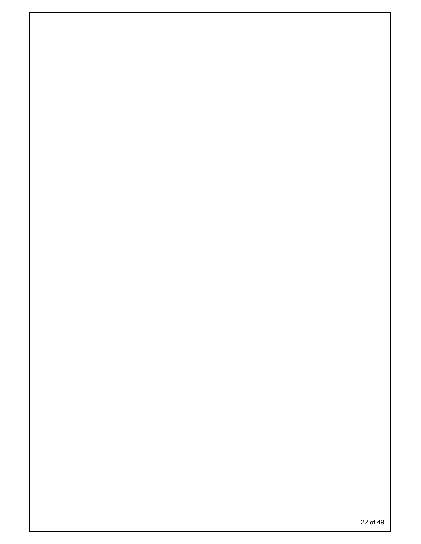22 of 49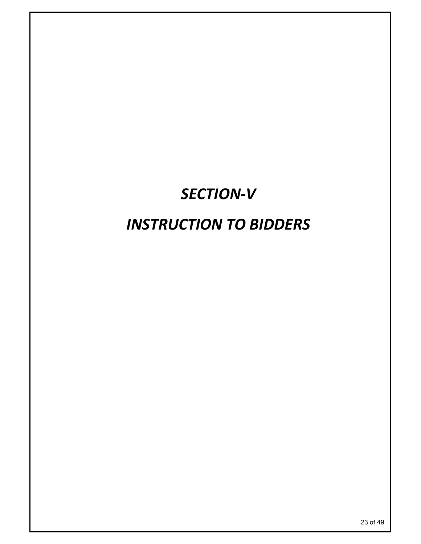## *SECTION‐V*

## *INSTRUCTION TO BIDDERS*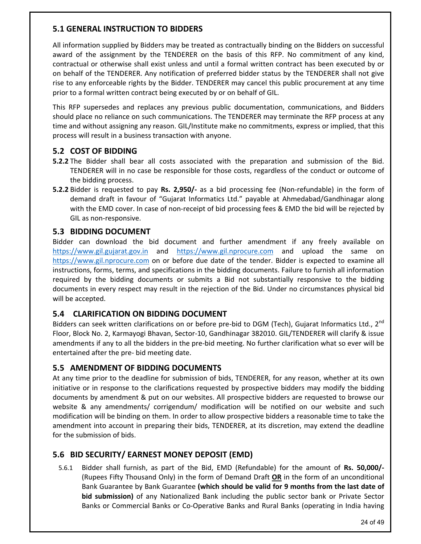## **5.1 GENERAL INSTRUCTION TO BIDDERS**

All information supplied by Bidders may be treated as contractually binding on the Bidders on successful award of the assignment by the TENDERER on the basis of this RFP. No commitment of any kind, contractual or otherwise shall exist unless and until a formal written contract has been executed by or on behalf of the TENDERER. Any notification of preferred bidder status by the TENDERER shall not give rise to any enforceable rights by the Bidder. TENDERER may cancel this public procurement at any time prior to a formal written contract being executed by or on behalf of GIL.

This RFP supersedes and replaces any previous public documentation, communications, and Bidders should place no reliance on such communications. The TENDERER may terminate the RFP process at any time and without assigning any reason. GIL/Institute make no commitments, express or implied, that this process will result in a business transaction with anyone.

### **5.2 COST OF BIDDING**

- **5.2.2** The Bidder shall bear all costs associated with the preparation and submission of the Bid. TENDERER will in no case be responsible for those costs, regardless of the conduct or outcome of the bidding process.
- **5.2.2** Bidder is requested to pay **Rs. 2,950/** as a bid processing fee (Non-refundable) in the form of demand draft in favour of "Gujarat Informatics Ltd." payable at Ahmedabad/Gandhinagar along with the EMD cover. In case of non-receipt of bid processing fees & EMD the bid will be rejected by GIL as non‐responsive.

#### **5.3 BIDDING DOCUMENT**

Bidder can download the bid document and further amendment if any freely available on https://www.gil.gujarat.gov.in and https://www.gil.nprocure.com and upload the same on https://www.gil.nprocure.com on or before due date of the tender. Bidder is expected to examine all instructions, forms, terms, and specifications in the bidding documents. Failure to furnish all information required by the bidding documents or submits a Bid not substantially responsive to the bidding documents in every respect may result in the rejection of the Bid. Under no circumstances physical bid will be accepted.

#### **5.4 CLARIFICATION ON BIDDING DOCUMENT**

Bidders can seek written clarifications on or before pre-bid to DGM (Tech), Gujarat Informatics Ltd., 2<sup>nd</sup> Floor, Block No. 2, Karmayogi Bhavan, Sector‐10, Gandhinagar 382010. GIL/TENDERER will clarify & issue amendments if any to all the bidders in the pre-bid meeting. No further clarification what so ever will be entertained after the pre‐ bid meeting date.

#### **5.5 AMENDMENT OF BIDDING DOCUMENTS**

At any time prior to the deadline for submission of bids, TENDERER, for any reason, whether at its own initiative or in response to the clarifications requested by prospective bidders may modify the bidding documents by amendment & put on our websites. All prospective bidders are requested to browse our website & any amendments/ corrigendum/ modification will be notified on our website and such modification will be binding on them. In order to allow prospective bidders a reasonable time to take the amendment into account in preparing their bids, TENDERER, at its discretion, may extend the deadline for the submission of bids.

#### **5.6 BID SECURITY/ EARNEST MONEY DEPOSIT (EMD)**

5.6.1 Bidder shall furnish, as part of the Bid, EMD (Refundable) for the amount of **Rs. 50,000/‐** (Rupees Fifty Thousand Only) in the form of Demand Draft **OR** in the form of an unconditional Bank Guarantee by Bank Guarantee **(which should be valid for 9 months from the last date of bid submission)** of any Nationalized Bank including the public sector bank or Private Sector Banks or Commercial Banks or Co‐Operative Banks and Rural Banks (operating in India having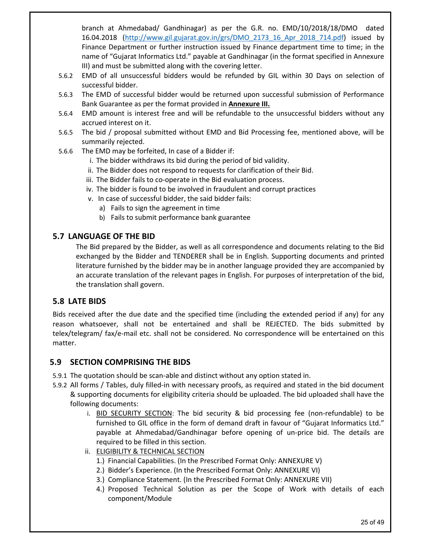branch at Ahmedabad/ Gandhinagar) as per the G.R. no. EMD/10/2018/18/DMO dated 16.04.2018 (http://www.gil.gujarat.gov.in/grs/DMO\_2173\_16\_Apr\_2018\_714.pdf) issued by Finance Department or further instruction issued by Finance department time to time; in the name of "Gujarat Informatics Ltd." payable at Gandhinagar (in the format specified in Annexure III) and must be submitted along with the covering letter.

- 5.6.2 EMD of all unsuccessful bidders would be refunded by GIL within 30 Days on selection of successful bidder.
- 5.6.3 The EMD of successful bidder would be returned upon successful submission of Performance Bank Guarantee as per the format provided in **Annexure III.**
- 5.6.4 EMD amount is interest free and will be refundable to the unsuccessful bidders without any accrued interest on it.
- 5.6.5 The bid / proposal submitted without EMD and Bid Processing fee, mentioned above, will be summarily rejected.
- 5.6.6 The EMD may be forfeited, In case of a Bidder if:
	- i. The bidder withdraws its bid during the period of bid validity.
	- ii. The Bidder does not respond to requests for clarification of their Bid.
	- iii. The Bidder fails to co-operate in the Bid evaluation process.
	- iv. The bidder is found to be involved in fraudulent and corrupt practices
	- v. In case of successful bidder, the said bidder fails:
		- a) Fails to sign the agreement in time
		- b) Fails to submit performance bank guarantee

#### **5.7 LANGUAGE OF THE BID**

The Bid prepared by the Bidder, as well as all correspondence and documents relating to the Bid exchanged by the Bidder and TENDERER shall be in English. Supporting documents and printed literature furnished by the bidder may be in another language provided they are accompanied by an accurate translation of the relevant pages in English. For purposes of interpretation of the bid, the translation shall govern.

#### **5.8 LATE BIDS**

Bids received after the due date and the specified time (including the extended period if any) for any reason whatsoever, shall not be entertained and shall be REJECTED. The bids submitted by telex/telegram/ fax/e‐mail etc. shall not be considered. No correspondence will be entertained on this matter.

#### **5.9 SECTION COMPRISING THE BIDS**

- 5.9.1 The quotation should be scan-able and distinct without any option stated in.
- 5.9.2 All forms / Tables, duly filled-in with necessary proofs, as required and stated in the bid document & supporting documents for eligibility criteria should be uploaded. The bid uploaded shall have the following documents:
	- i. BID SECURITY SECTION: The bid security & bid processing fee (non‐refundable) to be furnished to GIL office in the form of demand draft in favour of "Gujarat Informatics Ltd." payable at Ahmedabad/Gandhinagar before opening of un-price bid. The details are required to be filled in this section.
	- ii. ELIGIBILITY & TECHNICAL SECTION
		- 1.) Financial Capabilities. (In the Prescribed Format Only: ANNEXURE V)
		- 2.) Bidder's Experience. (In the Prescribed Format Only: ANNEXURE VI)
		- 3.) Compliance Statement. (In the Prescribed Format Only: ANNEXURE VII)
		- 4.) Proposed Technical Solution as per the Scope of Work with details of each component/Module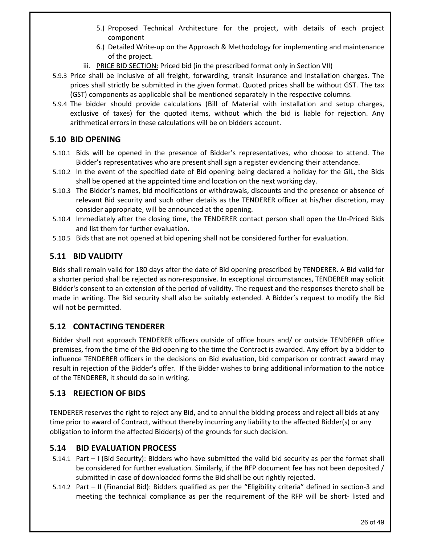- 5.) Proposed Technical Architecture for the project, with details of each project component
- 6.) Detailed Write‐up on the Approach & Methodology for implementing and maintenance of the project.
- iii. PRICE BID SECTION: Priced bid (in the prescribed format only in Section VII)
- 5.9.3 Price shall be inclusive of all freight, forwarding, transit insurance and installation charges. The prices shall strictly be submitted in the given format. Quoted prices shall be without GST. The tax (GST) components as applicable shall be mentioned separately in the respective columns.
- 5.9.4 The bidder should provide calculations (Bill of Material with installation and setup charges, exclusive of taxes) for the quoted items, without which the bid is liable for rejection. Any arithmetical errors in these calculations will be on bidders account.

## **5.10 BID OPENING**

- 5.10.1 Bids will be opened in the presence of Bidder's representatives, who choose to attend. The Bidder's representatives who are present shall sign a register evidencing their attendance.
- 5.10.2 In the event of the specified date of Bid opening being declared a holiday for the GIL, the Bids shall be opened at the appointed time and location on the next working day.
- 5.10.3 The Bidder's names, bid modifications or withdrawals, discounts and the presence or absence of relevant Bid security and such other details as the TENDERER officer at his/her discretion, may consider appropriate, will be announced at the opening.
- 5.10.4 Immediately after the closing time, the TENDERER contact person shall open the Un-Priced Bids and list them for further evaluation.
- 5.10.5 Bids that are not opened at bid opening shall not be considered further for evaluation.

## **5.11 BID VALIDITY**

Bids shall remain valid for 180 days after the date of Bid opening prescribed by TENDERER. A Bid valid for a shorter period shall be rejected as non-responsive. In exceptional circumstances, TENDERER may solicit Bidder's consent to an extension of the period of validity. The request and the responses thereto shall be made in writing. The Bid security shall also be suitably extended. A Bidder's request to modify the Bid will not be permitted.

#### **5.12 CONTACTING TENDERER**

Bidder shall not approach TENDERER officers outside of office hours and/ or outside TENDERER office premises, from the time of the Bid opening to the time the Contract is awarded. Any effort by a bidder to influence TENDERER officers in the decisions on Bid evaluation, bid comparison or contract award may result in rejection of the Bidder's offer. If the Bidder wishes to bring additional information to the notice of the TENDERER, it should do so in writing.

#### **5.13 REJECTION OF BIDS**

TENDERER reserves the right to reject any Bid, and to annul the bidding process and reject all bids at any time prior to award of Contract, without thereby incurring any liability to the affected Bidder(s) or any obligation to inform the affected Bidder(s) of the grounds for such decision.

#### **5.14 BID EVALUATION PROCESS**

- 5.14.1 Part I (Bid Security): Bidders who have submitted the valid bid security as per the format shall be considered for further evaluation. Similarly, if the RFP document fee has not been deposited / submitted in case of downloaded forms the Bid shall be out rightly rejected.
- 5.14.2 Part II (Financial Bid): Bidders qualified as per the "Eligibility criteria" defined in section‐3 and meeting the technical compliance as per the requirement of the RFP will be short-listed and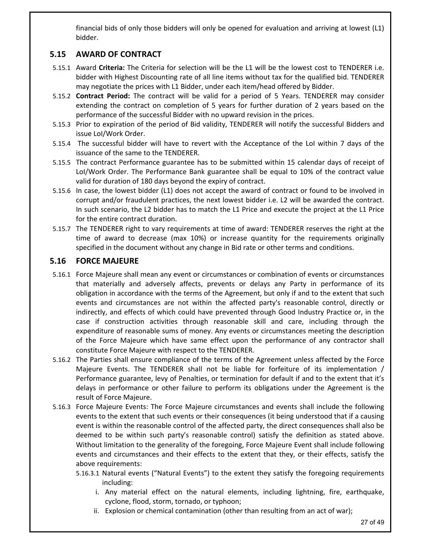financial bids of only those bidders will only be opened for evaluation and arriving at lowest (L1) bidder.

### **5.15 AWARD OF CONTRACT**

- 5.15.1 Award **Criteria:** The Criteria for selection will be the L1 will be the lowest cost to TENDERER i.e. bidder with Highest Discounting rate of all line items without tax for the qualified bid. TENDERER may negotiate the prices with L1 Bidder, under each item/head offered by Bidder.
- 5.15.2 **Contract Period:** The contract will be valid for a period of 5 Years. TENDERER may consider extending the contract on completion of 5 years for further duration of 2 years based on the performance of the successful Bidder with no upward revision in the prices.
- 5.15.3 Prior to expiration of the period of Bid validity, TENDERER will notify the successful Bidders and issue LoI/Work Order.
- 5.15.4 The successful bidder will have to revert with the Acceptance of the LoI within 7 days of the issuance of the same to the TENDERER.
- 5.15.5 The contract Performance guarantee has to be submitted within 15 calendar days of receipt of LoI/Work Order. The Performance Bank guarantee shall be equal to 10% of the contract value valid for duration of 180 days beyond the expiry of contract.
- 5.15.6 In case, the lowest bidder (L1) does not accept the award of contract or found to be involved in corrupt and/or fraudulent practices, the next lowest bidder i.e. L2 will be awarded the contract. In such scenario, the L2 bidder has to match the L1 Price and execute the project at the L1 Price for the entire contract duration.
- 5.15.7 The TENDERER right to vary requirements at time of award: TENDERER reserves the right at the time of award to decrease (max 10%) or increase quantity for the requirements originally specified in the document without any change in Bid rate or other terms and conditions.

#### **5.16 FORCE MAJEURE**

- 5.16.1 Force Majeure shall mean any event or circumstances or combination of events or circumstances that materially and adversely affects, prevents or delays any Party in performance of its obligation in accordance with the terms of the Agreement, but only if and to the extent that such events and circumstances are not within the affected party's reasonable control, directly or indirectly, and effects of which could have prevented through Good Industry Practice or, in the case if construction activities through reasonable skill and care, including through the expenditure of reasonable sums of money. Any events or circumstances meeting the description of the Force Majeure which have same effect upon the performance of any contractor shall constitute Force Majeure with respect to the TENDERER.
- 5.16.2 The Parties shall ensure compliance of the terms of the Agreement unless affected by the Force Majeure Events. The TENDERER shall not be liable for forfeiture of its implementation / Performance guarantee, levy of Penalties, or termination for default if and to the extent that it's delays in performance or other failure to perform its obligations under the Agreement is the result of Force Majeure.
- 5.16.3 Force Majeure Events: The Force Majeure circumstances and events shall include the following events to the extent that such events or their consequences (it being understood that if a causing event is within the reasonable control of the affected party, the direct consequences shall also be deemed to be within such party's reasonable control) satisfy the definition as stated above. Without limitation to the generality of the foregoing, Force Majeure Event shall include following events and circumstances and their effects to the extent that they, or their effects, satisfy the above requirements:
	- 5.16.3.1 Natural events ("Natural Events") to the extent they satisfy the foregoing requirements including:
		- i. Any material effect on the natural elements, including lightning, fire, earthquake, cyclone, flood, storm, tornado, or typhoon;
		- ii. Explosion or chemical contamination (other than resulting from an act of war);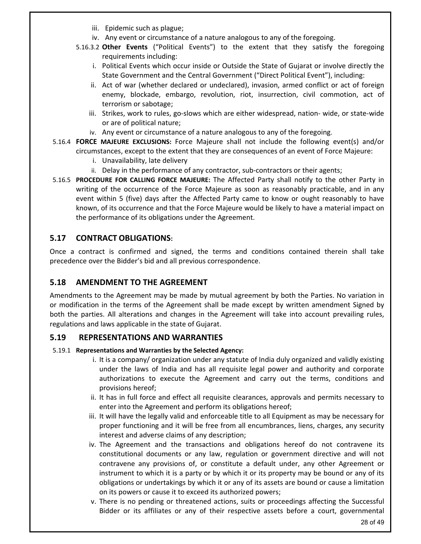- iii. Epidemic such as plague;
- iv. Any event or circumstance of a nature analogous to any of the foregoing.
- 5.16.3.2 **Other Events** ("Political Events") to the extent that they satisfy the foregoing requirements including:
	- i. Political Events which occur inside or Outside the State of Gujarat or involve directly the State Government and the Central Government ("Direct Political Event"), including:
	- ii. Act of war (whether declared or undeclared), invasion, armed conflict or act of foreign enemy, blockade, embargo, revolution, riot, insurrection, civil commotion, act of terrorism or sabotage;
	- iii. Strikes, work to rules, go-slows which are either widespread, nation- wide, or state-wide or are of political nature;
- iv. Any event or circumstance of a nature analogous to any of the foregoing.
- 5.16.4 **FORCE MAJEURE EXCLUSIONS:** Force Majeure shall not include the following event(s) and/or circumstances, except to the extent that they are consequences of an event of Force Majeure:
	- i. Unavailability, late delivery
	- ii. Delay in the performance of any contractor, sub-contractors or their agents;
- 5.16.5 **PROCEDURE FOR CALLING FORCE MAJEURE:**  The Affected Party shall notify to the other Party in writing of the occurrence of the Force Majeure as soon as reasonably practicable, and in any event within 5 (five) days after the Affected Party came to know or ought reasonably to have known, of its occurrence and that the Force Majeure would be likely to have a material impact on the performance of its obligations under the Agreement.

### **5.17 CONTRACT OBLIGATIONS:**

Once a contract is confirmed and signed, the terms and conditions contained therein shall take precedence over the Bidder's bid and all previous correspondence.

#### **5.18 AMENDMENT TO THE AGREEMENT**

Amendments to the Agreement may be made by mutual agreement by both the Parties. No variation in or modification in the terms of the Agreement shall be made except by written amendment Signed by both the parties. All alterations and changes in the Agreement will take into account prevailing rules, regulations and laws applicable in the state of Gujarat.

#### **5.19 REPRESENTATIONS AND WARRANTIES**

#### 5.19.1 **Representations and Warranties by the Selected Agency:**

- i. It is a company/ organization under any statute of India duly organized and validly existing under the laws of India and has all requisite legal power and authority and corporate authorizations to execute the Agreement and carry out the terms, conditions and provisions hereof;
- ii. It has in full force and effect all requisite clearances, approvals and permits necessary to enter into the Agreement and perform its obligations hereof;
- iii. It will have the legally valid and enforceable title to all Equipment as may be necessary for proper functioning and it will be free from all encumbrances, liens, charges, any security interest and adverse claims of any description;
- iv. The Agreement and the transactions and obligations hereof do not contravene its constitutional documents or any law, regulation or government directive and will not contravene any provisions of, or constitute a default under, any other Agreement or instrument to which it is a party or by which it or its property may be bound or any of its obligations or undertakings by which it or any of its assets are bound or cause a limitation on its powers or cause it to exceed its authorized powers;
- v. There is no pending or threatened actions, suits or proceedings affecting the Successful Bidder or its affiliates or any of their respective assets before a court, governmental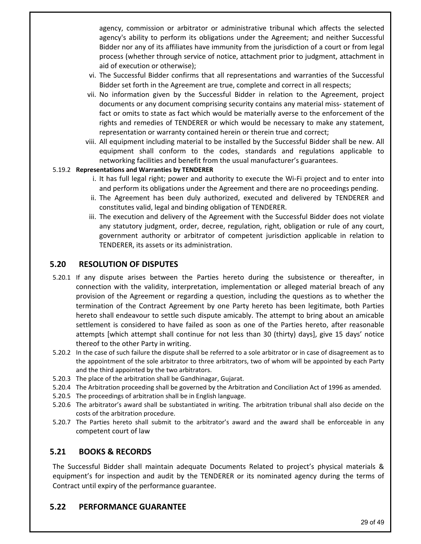agency, commission or arbitrator or administrative tribunal which affects the selected agency's ability to perform its obligations under the Agreement; and neither Successful Bidder nor any of its affiliates have immunity from the jurisdiction of a court or from legal process (whether through service of notice, attachment prior to judgment, attachment in aid of execution or otherwise);

- vi. The Successful Bidder confirms that all representations and warranties of the Successful Bidder set forth in the Agreement are true, complete and correct in all respects;
- vii. No information given by the Successful Bidder in relation to the Agreement, project documents or any document comprising security contains any material miss-statement of fact or omits to state as fact which would be materially averse to the enforcement of the rights and remedies of TENDERER or which would be necessary to make any statement, representation or warranty contained herein or therein true and correct;
- viii. All equipment including material to be installed by the Successful Bidder shall be new. All equipment shall conform to the codes, standards and regulations applicable to networking facilities and benefit from the usual manufacturer's guarantees.

#### 5.19.2 **Representations and Warranties by TENDERER**

- i. It has full legal right; power and authority to execute the Wi‐Fi project and to enter into and perform its obligations under the Agreement and there are no proceedings pending.
- ii. The Agreement has been duly authorized, executed and delivered by TENDERER and constitutes valid, legal and binding obligation of TENDERER.
- iii. The execution and delivery of the Agreement with the Successful Bidder does not violate any statutory judgment, order, decree, regulation, right, obligation or rule of any court, government authority or arbitrator of competent jurisdiction applicable in relation to TENDERER, its assets or its administration.

#### **5.20 RESOLUTION OF DISPUTES**

- 5.20.1 If any dispute arises between the Parties hereto during the subsistence or thereafter, in connection with the validity, interpretation, implementation or alleged material breach of any provision of the Agreement or regarding a question, including the questions as to whether the termination of the Contract Agreement by one Party hereto has been legitimate, both Parties hereto shall endeavour to settle such dispute amicably. The attempt to bring about an amicable settlement is considered to have failed as soon as one of the Parties hereto, after reasonable attempts [which attempt shall continue for not less than 30 (thirty) days], give 15 days' notice thereof to the other Party in writing.
- 5.20.2 In the case of such failure the dispute shall be referred to a sole arbitrator or in case of disagreement as to the appointment of the sole arbitrator to three arbitrators, two of whom will be appointed by each Party and the third appointed by the two arbitrators.
- 5.20.3 The place of the arbitration shall be Gandhinagar, Gujarat.
- 5.20.4 The Arbitration proceeding shall be governed by the Arbitration and Conciliation Act of 1996 as amended.
- 5.20.5 The proceedings of arbitration shall be in English language.
- 5.20.6 The arbitrator's award shall be substantiated in writing. The arbitration tribunal shall also decide on the costs of the arbitration procedure.
- 5.20.7 The Parties hereto shall submit to the arbitrator's award and the award shall be enforceable in any competent court of law

#### **5.21 BOOKS & RECORDS**

The Successful Bidder shall maintain adequate Documents Related to project's physical materials & equipment's for inspection and audit by the TENDERER or its nominated agency during the terms of Contract until expiry of the performance guarantee.

## **5.22 PERFORMANCE GUARANTEE**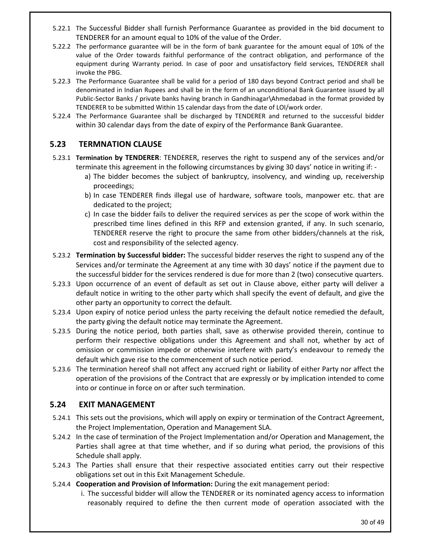- 5.22.1 The Successful Bidder shall furnish Performance Guarantee as provided in the bid document to TENDERER for an amount equal to 10% of the value of the Order.
- 5.22.2 The performance guarantee will be in the form of bank guarantee for the amount equal of 10% of the value of the Order towards faithful performance of the contract obligation, and performance of the equipment during Warranty period. In case of poor and unsatisfactory field services, TENDERER shall invoke the PBG.
- 5.22.3 The Performance Guarantee shall be valid for a period of 180 days beyond Contract period and shall be denominated in Indian Rupees and shall be in the form of an unconditional Bank Guarantee issued by all Public‐Sector Banks / private banks having branch in Gandhinagar\Ahmedabad in the format provided by TENDERER to be submitted Within 15 calendar days from the date of LOI/work order.
- 5.22.4 The Performance Guarantee shall be discharged by TENDERER and returned to the successful bidder within 30 calendar days from the date of expiry of the Performance Bank Guarantee.

### **5.23 TERMNATION CLAUSE**

- 5.23.1 **Termination by TENDERER**: TENDERER, reserves the right to suspend any of the services and/or terminate this agreement in the following circumstances by giving 30 days' notice in writing if:
	- a) The bidder becomes the subject of bankruptcy, insolvency, and winding up, receivership proceedings;
	- b) In case TENDERER finds illegal use of hardware, software tools, manpower etc. that are dedicated to the project;
	- c) In case the bidder fails to deliver the required services as per the scope of work within the prescribed time lines defined in this RFP and extension granted, if any. In such scenario, TENDERER reserve the right to procure the same from other bidders/channels at the risk, cost and responsibility of the selected agency.
- 5.23.2 **Termination by Successful bidder:** The successful bidder reserves the right to suspend any of the Services and/or terminate the Agreement at any time with 30 days' notice if the payment due to the successful bidder for the services rendered is due for more than 2 (two) consecutive quarters.
- 5.23.3 Upon occurrence of an event of default as set out in Clause above, either party will deliver a default notice in writing to the other party which shall specify the event of default, and give the other party an opportunity to correct the default.
- 5.23.4 Upon expiry of notice period unless the party receiving the default notice remedied the default, the party giving the default notice may terminate the Agreement.
- 5.23.5 During the notice period, both parties shall, save as otherwise provided therein, continue to perform their respective obligations under this Agreement and shall not, whether by act of omission or commission impede or otherwise interfere with party's endeavour to remedy the default which gave rise to the commencement of such notice period.
- 5.23.6 The termination hereof shall not affect any accrued right or liability of either Party nor affect the operation of the provisions of the Contract that are expressly or by implication intended to come into or continue in force on or after such termination.

#### **5.24 EXIT MANAGEMENT**

- 5.24.1 This sets out the provisions, which will apply on expiry or termination of the Contract Agreement, the Project Implementation, Operation and Management SLA.
- 5.24.2 In the case of termination of the Project Implementation and/or Operation and Management, the Parties shall agree at that time whether, and if so during what period, the provisions of this Schedule shall apply.
- 5.24.3 The Parties shall ensure that their respective associated entities carry out their respective obligations set out in this Exit Management Schedule.
- 5.24.4 **Cooperation and Provision of Information:** During the exit management period:
	- i. The successful bidder will allow the TENDERER or its nominated agency access to information reasonably required to define the then current mode of operation associated with the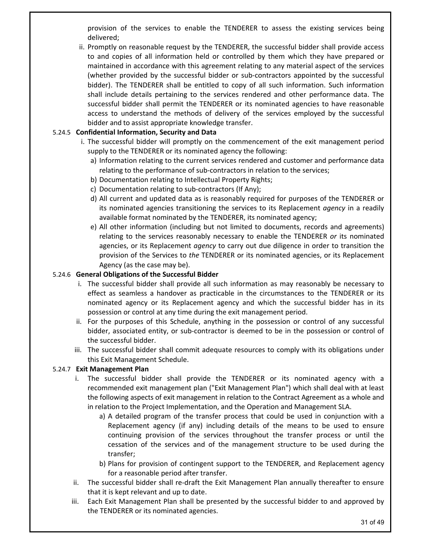provision of the services to enable the TENDERER to assess the existing services being delivered;

ii. Promptly on reasonable request by the TENDERER, the successful bidder shall provide access to and copies of all information held or controlled by them which they have prepared or maintained in accordance with this agreement relating to any material aspect of the services (whether provided by the successful bidder or sub‐contractors appointed by the successful bidder). The TENDERER shall be entitled to copy of all such information. Such information shall include details pertaining to the services rendered and other performance data. The successful bidder shall permit the TENDERER or its nominated agencies to have reasonable access to understand the methods of delivery of the services employed by the successful bidder and to assist appropriate knowledge transfer.

#### 5.24.5 **Confidential Information, Security and Data**

- i. The successful bidder will promptly on the commencement of the exit management period supply to the TENDERER or its nominated agency the following:
	- a) Information relating to the current services rendered and customer and performance data relating to the performance of sub‐contractors in relation to the services;
	- b) Documentation relating to Intellectual Property Rights;
	- c) Documentation relating to sub‐contractors (If Any);
	- d) All current and updated data as is reasonably required for purposes of the TENDERER or its nominated agencies transitioning the services to its Replacement *agency* in a readily available format nominated by the TENDERER, its nominated agency;
	- e) All other information (including but not limited to documents, records and agreements) relating to the services reasonably necessary to enable the TENDERER *or* its nominated agencies, or its Replacement *agency* to carry out due diligence in order to transition the provision of the Services to *the* TENDERER or its nominated agencies, or its Replacement Agency (as the case may be).

#### 5.24.6 **General Obligations of the Successful Bidder**

- i. The successful bidder shall provide all such information as may reasonably be necessary to effect as seamless a handover as practicable in the circumstances to the TENDERER or its nominated agency or its Replacement agency and which the successful bidder has in its possession or control at any time during the exit management period.
- ii. For the purposes of this Schedule, anything in the possession or control of any successful bidder, associated entity, or sub-contractor is deemed to be in the possession or control of the successful bidder.
- iii. The successful bidder shall commit adequate resources to comply with its obligations under this Exit Management Schedule.

#### 5.24.7 **Exit Management Plan**

- i. The successful bidder shall provide the TENDERER or its nominated agency with a recommended exit management plan ("Exit Management Plan") which shall deal with at least the following aspects of exit management in relation to the Contract Agreement as a whole and in relation to the Project Implementation, and the Operation and Management SLA.
	- a) A detailed program of the transfer process that could be used in conjunction with a Replacement agency (if any) including details of the means to be used to ensure continuing provision of the services throughout the transfer process or until the cessation of the services and of the management structure to be used during the transfer;
	- b) Plans for provision of contingent support to the TENDERER, and Replacement agency for a reasonable period after transfer.
- ii. The successful bidder shall re-draft the Exit Management Plan annually thereafter to ensure that it is kept relevant and up to date.
- iii. Each Exit Management Plan shall be presented by the successful bidder to and approved by the TENDERER or its nominated agencies.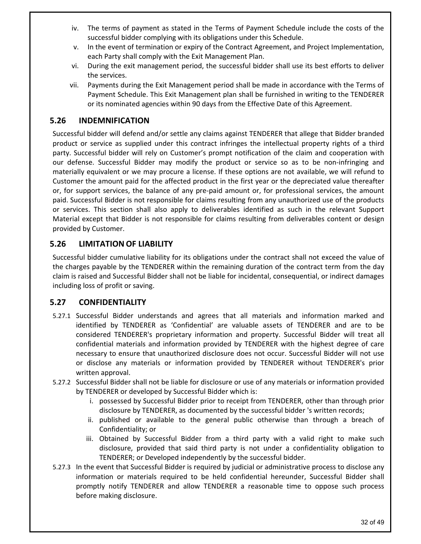- iv. The terms of payment as stated in the Terms of Payment Schedule include the costs of the successful bidder complying with its obligations under this Schedule.
- v. In the event of termination or expiry of the Contract Agreement, and Project Implementation, each Party shall comply with the Exit Management Plan.
- vi. During the exit management period, the successful bidder shall use its best efforts to deliver the services.
- vii. Payments during the Exit Management period shall be made in accordance with the Terms of Payment Schedule. This Exit Management plan shall be furnished in writing to the TENDERER or its nominated agencies within 90 days from the Effective Date of this Agreement.

### **5.26 INDEMNIFICATION**

Successful bidder will defend and/or settle any claims against TENDERER that allege that Bidder branded product or service as supplied under this contract infringes the intellectual property rights of a third party. Successful bidder will rely on Customer's prompt notification of the claim and cooperation with our defense. Successful Bidder may modify the product or service so as to be non-infringing and materially equivalent or we may procure a license. If these options are not available, we will refund to Customer the amount paid for the affected product in the first year or the depreciated value thereafter or, for support services, the balance of any pre-paid amount or, for professional services, the amount paid. Successful Bidder is not responsible for claims resulting from any unauthorized use of the products or services. This section shall also apply to deliverables identified as such in the relevant Support Material except that Bidder is not responsible for claims resulting from deliverables content or design provided by Customer.

## **5.26 LIMITATION OF LIABILITY**

Successful bidder cumulative liability for its obligations under the contract shall not exceed the value of the charges payable by the TENDERER within the remaining duration of the contract term from the day claim is raised and Successful Bidder shall not be liable for incidental, consequential, or indirect damages including loss of profit or saving.

#### **5.27 CONFIDENTIALITY**

- 5.27.1 Successful Bidder understands and agrees that all materials and information marked and identified by TENDERER as 'Confidential' are valuable assets of TENDERER and are to be considered TENDERER's proprietary information and property. Successful Bidder will treat all confidential materials and information provided by TENDERER with the highest degree of care necessary to ensure that unauthorized disclosure does not occur. Successful Bidder will not use or disclose any materials or information provided by TENDERER without TENDERER's prior written approval.
- 5.27.2 Successful Bidder shall not be liable for disclosure or use of any materials or information provided by TENDERER or developed by Successful Bidder which is:
	- i. possessed by Successful Bidder prior to receipt from TENDERER, other than through prior disclosure by TENDERER, as documented by the successful bidder 's written records;
	- ii. published or available to the general public otherwise than through a breach of Confidentiality; or
	- iii. Obtained by Successful Bidder from a third party with a valid right to make such disclosure, provided that said third party is not under a confidentiality obligation to TENDERER; or Developed independently by the successful bidder.
- 5.27.3 In the event that Successful Bidder is required by judicial or administrative process to disclose any information or materials required to be held confidential hereunder, Successful Bidder shall promptly notify TENDERER and allow TENDERER a reasonable time to oppose such process before making disclosure.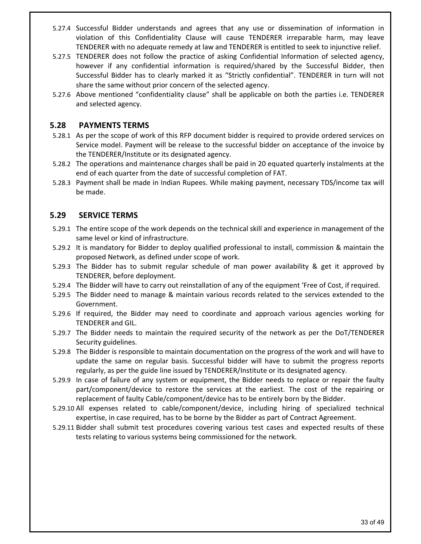- 5.27.4 Successful Bidder understands and agrees that any use or dissemination of information in violation of this Confidentiality Clause will cause TENDERER irreparable harm, may leave TENDERER with no adequate remedy at law and TENDERER is entitled to seek to injunctive relief.
- 5.27.5 TENDERER does not follow the practice of asking Confidential Information of selected agency, however if any confidential information is required/shared by the Successful Bidder, then Successful Bidder has to clearly marked it as "Strictly confidential". TENDERER in turn will not share the same without prior concern of the selected agency.
- 5.27.6 Above mentioned "confidentiality clause" shall be applicable on both the parties i.e. TENDERER and selected agency.

#### **5.28 PAYMENTS TERMS**

- 5.28.1 As per the scope of work of this RFP document bidder is required to provide ordered services on Service model. Payment will be release to the successful bidder on acceptance of the invoice by the TENDERER/Institute or its designated agency.
- 5.28.2 The operations and maintenance charges shall be paid in 20 equated quarterly instalments at the end of each quarter from the date of successful completion of FAT.
- 5.28.3 Payment shall be made in Indian Rupees. While making payment, necessary TDS/income tax will be made.

#### **5.29 SERVICE TERMS**

- 5.29.1 The entire scope of the work depends on the technical skill and experience in management of the same level or kind of infrastructure.
- 5.29.2 It is mandatory for Bidder to deploy qualified professional to install, commission & maintain the proposed Network, as defined under scope of work.
- 5.29.3 The Bidder has to submit regular schedule of man power availability & get it approved by TENDERER, before deployment.
- 5.29.4 The Bidder will have to carry out reinstallation of any of the equipment 'Free of Cost, if required.
- 5.29.5 The Bidder need to manage & maintain various records related to the services extended to the Government.
- 5.29.6 If required, the Bidder may need to coordinate and approach various agencies working for TENDERER and GIL.
- 5.29.7 The Bidder needs to maintain the required security of the network as per the DoT/TENDERER Security guidelines.
- 5.29.8 The Bidder is responsible to maintain documentation on the progress of the work and will have to update the same on regular basis. Successful bidder will have to submit the progress reports regularly, as per the guide line issued by TENDERER/Institute or its designated agency.
- 5.29.9 In case of failure of any system or equipment, the Bidder needs to replace or repair the faulty part/component/device to restore the services at the earliest. The cost of the repairing or replacement of faulty Cable/component/device has to be entirely born by the Bidder.
- 5.29.10 All expenses related to cable/component/device, including hiring of specialized technical expertise, in case required, has to be borne by the Bidder as part of Contract Agreement.
- 5.29.11 Bidder shall submit test procedures covering various test cases and expected results of these tests relating to various systems being commissioned for the network.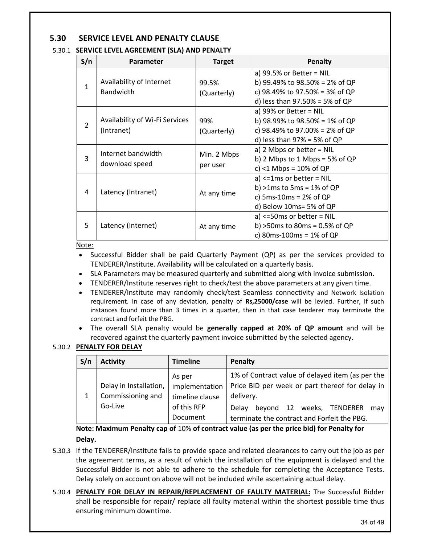## **5.30 SERVICE LEVEL AND PENALTY CLAUSE**

## 5.30.1 **SERVICE LEVEL AGREEMENT (SLA) AND PENALTY**

| S/n            | Parameter                                    | <b>Target</b>           | <b>Penalty</b>                                                                                                                       |
|----------------|----------------------------------------------|-------------------------|--------------------------------------------------------------------------------------------------------------------------------------|
| 1              | Availability of Internet<br>Bandwidth        | 99.5%<br>(Quarterly)    | a) 99.5% or Better = $NIL$<br>b) 99.49% to 98.50% = 2% of QP<br>c) 98.49% to 97.50% = 3% of QP<br>d) less than $97.50\% = 5\%$ of QP |
| $\overline{2}$ | Availability of Wi-Fi Services<br>(Intranet) | 99%<br>(Quarterly)      | a) 99% or Better = $NIL$<br>b) 98.99% to 98.50% = 1% of QP<br>c) 98.49% to 97.00% = 2% of QP<br>d) less than $97\% = 5\%$ of QP      |
| 3              | Internet bandwidth<br>download speed         | Min. 2 Mbps<br>per user | a) 2 Mbps or better = $NIL$<br>b) 2 Mbps to 1 Mbps = $5\%$ of QP<br>c) <1 Mbps = $10\%$ of QP                                        |
| 4              | Latency (Intranet)                           | At any time             | a) $\le$ 1ms or better = NIL<br>b) >1ms to 5ms = $1\%$ of QP<br>c) 5ms-10ms = $2\%$ of QP<br>d) Below 10ms= 5% of QP                 |
| 5              | Latency (Internet)                           | At any time             | a) $\leq$ =50ms or better = NIL<br>b) >50 ms to 80 ms = $0.5\%$ of QP<br>c) 80ms-100ms = $1\%$ of QP                                 |

Note:

- Successful Bidder shall be paid Quarterly Payment (QP) as per the services provided to TENDERER/Institute. Availability will be calculated on a quarterly basis.
- SLA Parameters may be measured quarterly and submitted along with invoice submission.
- TENDERER/Institute reserves right to check/test the above parameters at any given time.
- TENDERER/Institute may randomly check/test Seamless connectivity and Network Isolation requirement. In case of any deviation, penalty of **Rs,25000/case** will be levied. Further, if such instances found more than 3 times in a quarter, then in that case tenderer may terminate the contract and forfeit the PBG.
- The overall SLA penalty would be **generally capped at 20% of QP amount** and will be recovered against the quarterly payment invoice submitted by the selected agency.

#### 5.30.2 **PENALTY FOR DELAY**

| S/n | <b>Activity</b>                                        | <b>Timeline</b>                                                        | Penalty                                                                                                                                                                                                            |
|-----|--------------------------------------------------------|------------------------------------------------------------------------|--------------------------------------------------------------------------------------------------------------------------------------------------------------------------------------------------------------------|
|     | Delay in Installation,<br>Commissioning and<br>Go-Live | As per<br>implementation<br>timeline clause<br>of this RFP<br>Document | 1% of Contract value of delayed item (as per the<br>Price BID per week or part thereof for delay in<br>delivery.<br>weeks, TENDERER<br>beyond<br>12<br>Delay<br>may<br>terminate the contract and Forfeit the PBG. |

**Note: Maximum Penalty cap of** 10% **of contract value (as per the price bid) for Penalty for Delay.** 

- 5.30.3 If the TENDERER/Institute fails to provide space and related clearances to carry out the job as per the agreement terms, as a result of which the installation of the equipment is delayed and the Successful Bidder is not able to adhere to the schedule for completing the Acceptance Tests. Delay solely on account on above will not be included while ascertaining actual delay.
- 5.30.4 **PENALTY FOR DELAY IN REPAIR/REPLACEMENT OF FAULTY MATERIAL:**  The Successful Bidder shall be responsible for repair/ replace all faulty material within the shortest possible time thus ensuring minimum downtime.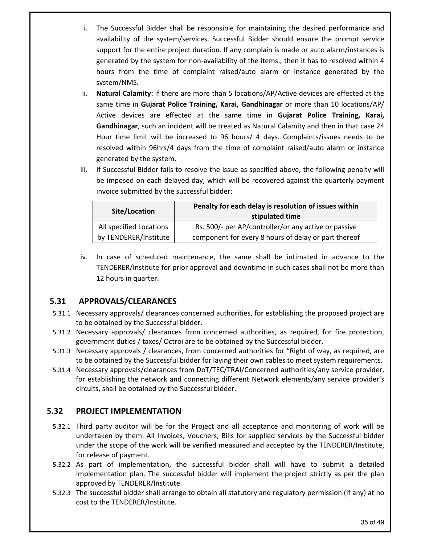- i. The Successful Bidder shall be responsible for maintaining the desired performance and availability of the system/services. Successful Bidder should ensure the prompt service support for the entire project duration. If any complain is made or auto alarm/instances is generated by the system for non-availability of the items., then it has to resolved within 4 hours from the time of complaint raised/auto alarm or instance generated by the system/NMS.
- ii. **Natural Calamity:** if there are more than 5 locations/AP/Active devices are effected at the same time in **Gujarat Police Training, Karai, Gandhinagar** or more than 10 locations/AP/ Active devices are effected at the same time in **Gujarat Police Training, Karai, Gandhinagar**, such an incident will be treated as Natural Calamity and then in that case 24 Hour time limit will be increased to 96 hours/ 4 days. Complaints/issues needs to be resolved within 96hrs/4 days from the time of complaint raised/auto alarm or instance generated by the system.
- iii. If Successful Bidder fails to resolve the issue as specified above, the following penalty will be imposed on each delayed day, which will be recovered against the quarterly payment invoice submitted by the successful bidder:

| Penalty for each delay is resolution of issues within<br>Site/Location<br>stipulated time |                                                      |
|-------------------------------------------------------------------------------------------|------------------------------------------------------|
| All specified Locations                                                                   | Rs. 500/- per AP/controller/or any active or passive |
| by TENDERER/Institute                                                                     | component for every 8 hours of delay or part thereof |

iv. In case of scheduled maintenance, the same shall be intimated in advance to the TENDERER/Institute for prior approval and downtime in such cases shall not be more than 12 hours in quarter.

## **5.31 APPROVALS/CLEARANCES**

- 5.31.1 Necessary approvals/ clearances concerned authorities, for establishing the proposed project are to be obtained by the Successful bidder.
- 5.31.2 Necessary approvals/ clearances from concerned authorities, as required, for fire protection, government duties / taxes/ Octroi are to be obtained by the Successful bidder.
- 5.31.3 Necessary approvals / clearances, from concerned authorities for "Right of way, as required, are to be obtained by the Successful bidder for laying their own cables to meet system requirements.
- 5.31.4 Necessary approvals/clearances from DoT/TEC/TRAI/Concerned authorities/any service provider, for establishing the network and connecting different Network elements/any service provider's circuits, shall be obtained by the Successful bidder.

## **5.32 PROJECT IMPLEMENTATION**

- 5.32.1 Third party auditor will be for the Project and all acceptance and monitoring of work will be undertaken by them. All Invoices, Vouchers, Bills for supplied services by the Successful bidder under the scope of the work will be verified measured and accepted by the TENDERER/Institute, for release of payment.
- 5.32.2 As part of implementation, the successful bidder shall will have to submit a detailed Implementation plan. The successful bidder will implement the project strictly as per the plan approved by TENDERER/Institute.
- 5.32.3 The successful bidder shall arrange to obtain all statutory and regulatory permission (If any) at no cost to the TENDERER/Institute.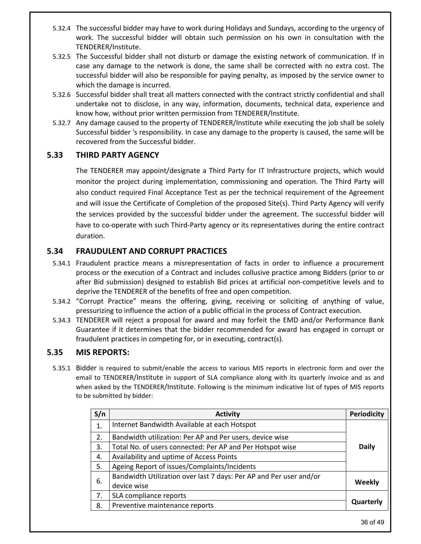- 5.32.4 The successful bidder may have to work during Holidays and Sundays, according to the urgency of work. The successful bidder will obtain such permission on his own in consultation with the TENDERER/Institute.
- 5.32.5 The Successful bidder shall not disturb or damage the existing network of communication. If in case any damage to the network is done, the same shall be corrected with no extra cost. The successful bidder will also be responsible for paying penalty, as imposed by the service owner to which the damage is incurred.
- 5.32.6 Successful bidder shall treat all matters connected with the contract strictly confidential and shall undertake not to disclose, in any way, information, documents, technical data, experience and know how, without prior written permission from TENDERER/Institute.
- 5.32.7 Any damage caused to the property of TENDERER/Institute while executing the job shall be solely Successful bidder 's responsibility. In case any damage to the property is caused, the same will be recovered from the Successful bidder.

#### **5.33 THIRD PARTY AGENCY**

The TENDERER may appoint/designate a Third Party for IT Infrastructure projects, which would monitor the project during implementation, commissioning and operation. The Third Party will also conduct required Final Acceptance Test as per the technical requirement of the Agreement and will issue the Certificate of Completion of the proposed Site(s). Third Party Agency will verify the services provided by the successful bidder under the agreement. The successful bidder will have to co-operate with such Third-Party agency or its representatives during the entire contract duration.

#### **5.34 FRAUDULENT AND CORRUPT PRACTICES**

- 5.34.1 Fraudulent practice means a misrepresentation of facts in order to influence a procurement process or the execution of a Contract and includes collusive practice among Bidders (prior to or after Bid submission) designed to establish Bid prices at artificial non‐competitive levels and to deprive the TENDERER of the benefits of free and open competition.
- 5.34.2 "Corrupt Practice" means the offering, giving, receiving or soliciting of anything of value, pressurizing to influence the action of a public official in the process of Contract execution.
- 5.34.3 TENDERER will reject a proposal for award and may forfeit the EMD and/or Performance Bank Guarantee if it determines that the bidder recommended for award has engaged in corrupt or fraudulent practices in competing for, or in executing, contract(s).

#### **5.35 MIS REPORTS:**

5.35.1 Bidder is required to submit/enable the access to various MIS reports in electronic form and over the email to TENDERER/Institute in support of SLA compliance along with its quarterly invoice and as and when asked by the TENDERER/Institute. Following is the minimum indicative list of types of MIS reports to be submitted by bidder:

| S/n | <b>Activity</b>                                                    | <b>Periodicity</b> |
|-----|--------------------------------------------------------------------|--------------------|
| 1.  | Internet Bandwidth Available at each Hotspot                       |                    |
| 2.  | Bandwidth utilization: Per AP and Per users, device wise           |                    |
| 3.  | Total No. of users connected: Per AP and Per Hotspot wise          | <b>Daily</b>       |
| 4.  | Availability and uptime of Access Points                           |                    |
| 5.  | Ageing Report of issues/Complaints/Incidents                       |                    |
| 6.  | Bandwidth Utilization over last 7 days: Per AP and Per user and/or |                    |
|     | device wise                                                        | Weekly             |
| 7.  | SLA compliance reports                                             |                    |
| 8.  | Preventive maintenance reports                                     | Quarterly          |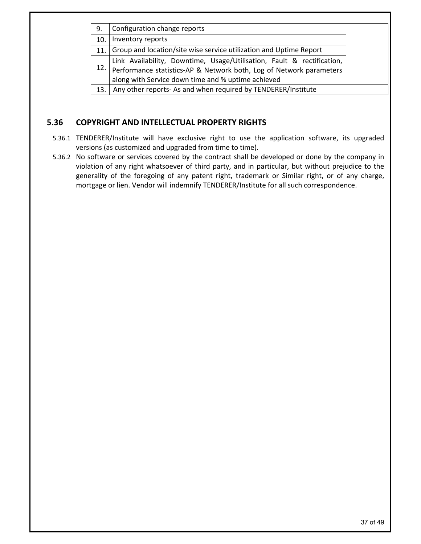| 9.  | Configuration change reports                                                                                                                                                                            |  |
|-----|---------------------------------------------------------------------------------------------------------------------------------------------------------------------------------------------------------|--|
| 10. | Inventory reports                                                                                                                                                                                       |  |
|     | 11. Group and location/site wise service utilization and Uptime Report                                                                                                                                  |  |
|     | Link Availability, Downtime, Usage/Utilisation, Fault & rectification,<br>12. Performance statistics-AP & Network both, Log of Network parameters<br>along with Service down time and % uptime achieved |  |
| 13. | Any other reports- As and when required by TENDERER/Institute                                                                                                                                           |  |

#### **5.36 COPYRIGHT AND INTELLECTUAL PROPERTY RIGHTS**

- 5.36.1 TENDERER/Institute will have exclusive right to use the application software, its upgraded versions (as customized and upgraded from time to time).
- 5.36.2 No software or services covered by the contract shall be developed or done by the company in violation of any right whatsoever of third party, and in particular, but without prejudice to the generality of the foregoing of any patent right, trademark or Similar right, or of any charge, mortgage or lien. Vendor will indemnify TENDERER/Institute for all such correspondence.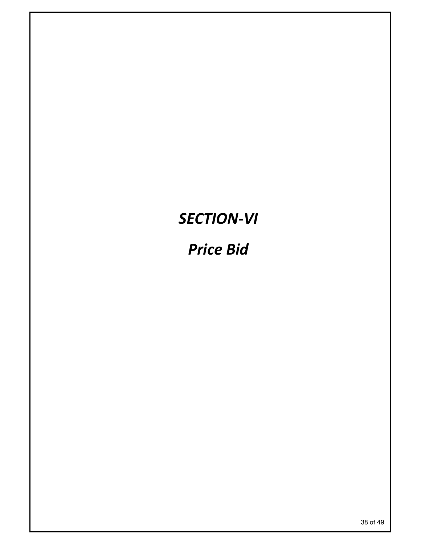## *SECTION‐VI*

*Price Bid*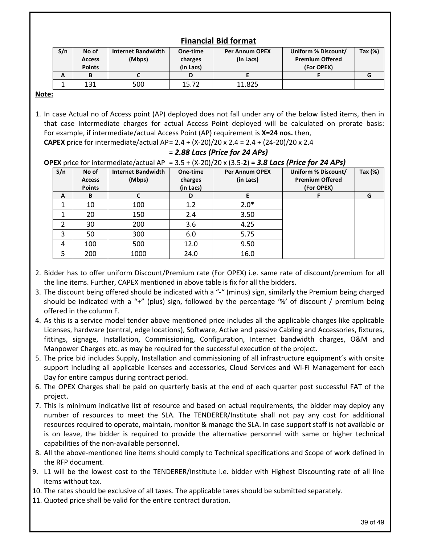## **Financial Bid format**

| S/n | No of<br><b>Access</b><br><b>Points</b> | <b>Internet Bandwidth</b><br>(Mbps) | One-time<br>charges<br>(in Lacs) | <b>Per Annum OPEX</b><br>(in Lacs) | Uniform % Discount/<br><b>Premium Offered</b><br>(For OPEX) | Tax $(%)$ |
|-----|-----------------------------------------|-------------------------------------|----------------------------------|------------------------------------|-------------------------------------------------------------|-----------|
| A   | В                                       |                                     |                                  |                                    |                                                             |           |
|     | 131                                     | 500                                 | 15.72                            | 11.825                             |                                                             |           |

**Note:** 

1. In case Actual no of Access point (AP) deployed does not fall under any of the below listed items, then in that case Intermediate charges for actual Access Point deployed will be calculated on prorate basis: For example, if intermediate/actual Access Point (AP) requirement is **X=24 nos.** then,  **CAPEX** price for intermediate/actual AP = 2.4 + (X‐20)/20 x 2.4 = 2.4 + (24‐20)/20 x 2.4

#### **=** *2.88 Lacs (Price for 24 APs)*

**OPEX** price for intermediate/actual AP = 3.5 + (X‐20)/20 x (3.5‐**2**) **=** *3.8 Lacs (Price for 24 APs)*

| S/n | No of<br><b>Access</b><br><b>Points</b> | <b>Internet Bandwidth</b><br>(Mbps) | One-time<br>charges<br>(in Lacs) | <b>Per Annum OPEX</b><br>(in Lacs) | Uniform % Discount/<br><b>Premium Offered</b><br>(For OPEX) | Tax (%) |
|-----|-----------------------------------------|-------------------------------------|----------------------------------|------------------------------------|-------------------------------------------------------------|---------|
| A   | B                                       |                                     | D                                |                                    |                                                             | G       |
| 1   | 10                                      | 100                                 | 1.2                              | $2.0*$                             |                                                             |         |
| 1   | 20                                      | 150                                 | 2.4                              | 3.50                               |                                                             |         |
| 2   | 30                                      | 200                                 | 3.6                              | 4.25                               |                                                             |         |
| 3   | 50                                      | 300                                 | 6.0                              | 5.75                               |                                                             |         |
| 4   | 100                                     | 500                                 | 12.0                             | 9.50                               |                                                             |         |
| 5   | 200                                     | 1000                                | 24.0                             | 16.0                               |                                                             |         |

- 2. Bidder has to offer uniform Discount/Premium rate (For OPEX) i.e. same rate of discount/premium for all the line items. Further, CAPEX mentioned in above table is fix for all the bidders.
- 3. The discount being offered should be indicated with a "‐" (minus) sign, similarly the Premium being charged should be indicated with a "+" (plus) sign, followed by the percentage '%' of discount / premium being offered in the column F.
- 4. As this is a service model tender above mentioned price includes all the applicable charges like applicable Licenses, hardware (central, edge locations), Software, Active and passive Cabling and Accessories, fixtures, fittings, signage, Installation, Commissioning, Configuration, Internet bandwidth charges, O&M and Manpower Charges etc. as may be required for the successful execution of the project.
- 5. The price bid includes Supply, Installation and commissioning of all infrastructure equipment's with onsite support including all applicable licenses and accessories, Cloud Services and Wi-Fi Management for each Day for entire campus during contract period.
- 6. The OPEX Charges shall be paid on quarterly basis at the end of each quarter post successful FAT of the project.
- 7. This is minimum indicative list of resource and based on actual requirements, the bidder may deploy any number of resources to meet the SLA. The TENDERER/Institute shall not pay any cost for additional resources required to operate, maintain, monitor & manage the SLA. In case support staff is not available or is on leave, the bidder is required to provide the alternative personnel with same or higher technical capabilities of the non‐available personnel.
- 8. All the above-mentioned line items should comply to Technical specifications and Scope of work defined in the RFP document.
- 9. L1 will be the lowest cost to the TENDERER/Institute i.e. bidder with Highest Discounting rate of all line items without tax.
- 10. The rates should be exclusive of all taxes. The applicable taxes should be submitted separately.
- 11. Quoted price shall be valid for the entire contract duration.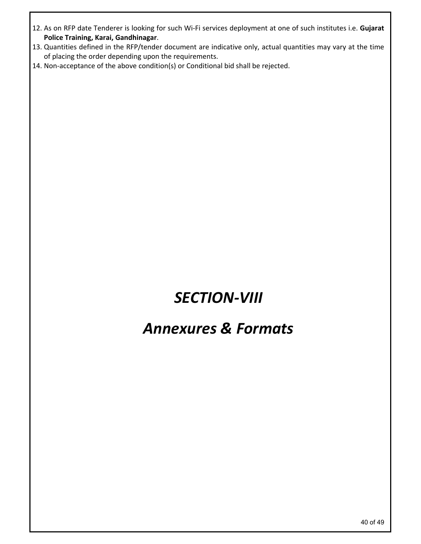- 12. As on RFP date Tenderer is looking for such Wi‐Fi services deployment at one of such institutes i.e. **Gujarat Police Training, Karai, Gandhinagar**.
- 13. Quantities defined in the RFP/tender document are indicative only, actual quantities may vary at the time of placing the order depending upon the requirements.
- 14. Non-acceptance of the above condition(s) or Conditional bid shall be rejected.

## *SECTION‐VIII*

## *Annexures & Formats*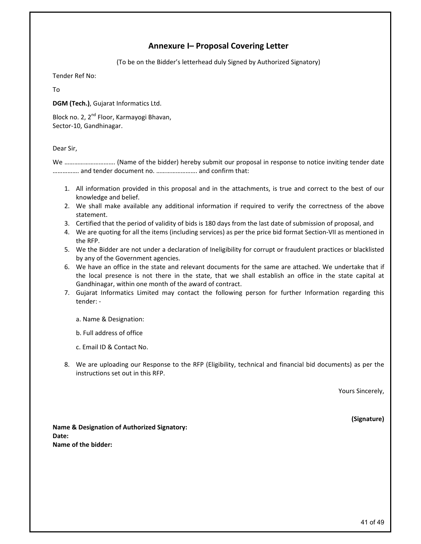#### **Annexure I– Proposal Covering Letter**

(To be on the Bidder's letterhead duly Signed by Authorized Signatory)

Tender Ref No:

To

**DGM (Tech.)**, Gujarat Informatics Ltd.

Block no. 2, 2<sup>nd</sup> Floor, Karmayogi Bhavan, Sector‐10, Gandhinagar.

Dear Sir,

We …………………………. (Name of the bidder) hereby submit our proposal in response to notice inviting tender date ……………. and tender document no. ……………………. and confirm that:

- 1. All information provided in this proposal and in the attachments, is true and correct to the best of our knowledge and belief.
- 2. We shall make available any additional information if required to verify the correctness of the above statement.
- 3. Certified that the period of validity of bids is 180 days from the last date of submission of proposal, and
- 4. We are quoting for all the items (including services) as per the price bid format Section‐VII as mentioned in the RFP.
- 5. We the Bidder are not under a declaration of Ineligibility for corrupt or fraudulent practices or blacklisted by any of the Government agencies.
- 6. We have an office in the state and relevant documents for the same are attached. We undertake that if the local presence is not there in the state, that we shall establish an office in the state capital at Gandhinagar, within one month of the award of contract.
- 7. Gujarat Informatics Limited may contact the following person for further Information regarding this tender: ‐
	- a. Name & Designation:
	- b. Full address of office
	- c. Email ID & Contact No.
- 8. We are uploading our Response to the RFP (Eligibility, technical and financial bid documents) as per the instructions set out in this RFP.

Yours Sincerely,

**(Signature)** 

**Name & Designation of Authorized Signatory: Date: Name of the bidder:**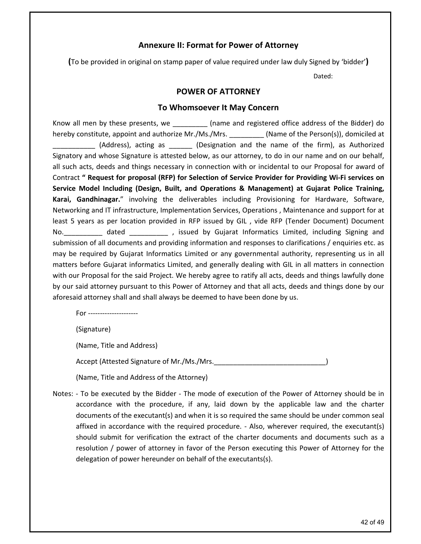#### **Annexure II: Format for Power of Attorney**

**(**To be provided in original on stamp paper of value required under law duly Signed by 'bidder'**)** 

 $\mathbf{D}$  Dated:

#### **POWER OF ATTORNEY**

#### **To Whomsoever It May Concern**

Know all men by these presents, we \_\_\_\_\_\_\_\_\_\_ (name and registered office address of the Bidder) do hereby constitute, appoint and authorize Mr./Ms./Mrs. \_\_\_\_\_\_\_\_\_\_(Name of the Person(s)), domiciled at \_\_\_\_\_\_\_\_\_\_\_ (Address), acting as \_\_\_\_\_\_ (Designation and the name of the firm), as Authorized Signatory and whose Signature is attested below, as our attorney, to do in our name and on our behalf, all such acts, deeds and things necessary in connection with or incidental to our Proposal for award of Contract **" Request for proposal (RFP) for Selection of Service Provider for Providing Wi‐Fi services on Service Model Including (Design, Built, and Operations & Management) at Gujarat Police Training, Karai, Gandhinagar.**" involving the deliverables including Provisioning for Hardware, Software, Networking and IT infrastructure, Implementation Services, Operations , Maintenance and support for at least 5 years as per location provided in RFP issued by GIL, vide RFP (Tender Document) Document No. \_\_\_\_\_\_\_\_\_\_\_ dated \_\_\_\_\_\_\_\_\_\_\_\_\_, issued by Gujarat Informatics Limited, including Signing and submission of all documents and providing information and responses to clarifications / enquiries etc. as may be required by Gujarat Informatics Limited or any governmental authority, representing us in all matters before Gujarat informatics Limited, and generally dealing with GIL in all matters in connection with our Proposal for the said Project. We hereby agree to ratify all acts, deeds and things lawfully done by our said attorney pursuant to this Power of Attorney and that all acts, deeds and things done by our aforesaid attorney shall and shall always be deemed to have been done by us.

For ----------------------

(Signature)

(Name, Title and Address)

Accept (Attested Signature of Mr./Ms./Mrs.

(Name, Title and Address of the Attorney)

Notes: - To be executed by the Bidder - The mode of execution of the Power of Attorney should be in accordance with the procedure, if any, laid down by the applicable law and the charter documents of the executant(s) and when it is so required the same should be under common seal affixed in accordance with the required procedure. - Also, wherever required, the executant(s) should submit for verification the extract of the charter documents and documents such as a resolution / power of attorney in favor of the Person executing this Power of Attorney for the delegation of power hereunder on behalf of the executants(s).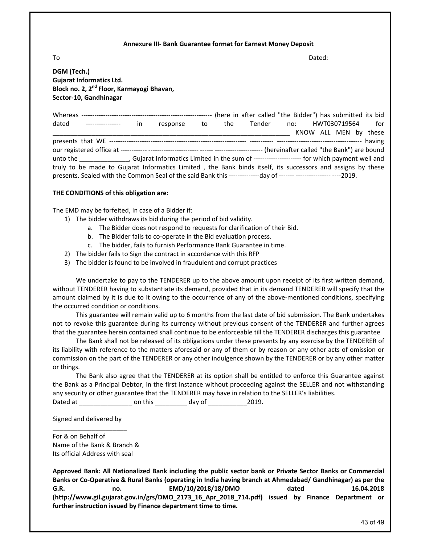#### **Annexure III‐ Bank Guarantee format for Earnest Money Deposit**

 $\Gamma$ o  $\Gamma$ ated:  $\Gamma$ 

**DGM (Tech.) Gujarat Informatics Ltd. Block no. 2, 2nd Floor, Karmayogi Bhavan, Sector‐10, Gandhinagar** 

|                                                                                                             |                                                                                                                      |           |          |    |     | (here in after called "the Bidder") has submitted its bid |                             |  |  |                       |
|-------------------------------------------------------------------------------------------------------------|----------------------------------------------------------------------------------------------------------------------|-----------|----------|----|-----|-----------------------------------------------------------|-----------------------------|--|--|-----------------------|
| dated                                                                                                       | ----------------                                                                                                     | <i>in</i> | response | to | the |                                                           | Tender no: HWT030719564 for |  |  |                       |
|                                                                                                             |                                                                                                                      |           |          |    |     |                                                           |                             |  |  | KNOW ALL MEN by these |
|                                                                                                             |                                                                                                                      |           |          |    |     |                                                           |                             |  |  |                       |
|                                                                                                             |                                                                                                                      |           |          |    |     |                                                           |                             |  |  |                       |
|                                                                                                             | unto the Theorem Comparent Informatics Limited in the sum of -------------------------- for which payment well and   |           |          |    |     |                                                           |                             |  |  |                       |
| truly to be made to Gujarat Informatics Limited, the Bank binds itself, its successors and assigns by these |                                                                                                                      |           |          |    |     |                                                           |                             |  |  |                       |
|                                                                                                             | presents. Sealed with the Common Seal of the said Bank this ---------------day of ------- ---------------- ----2019. |           |          |    |     |                                                           |                             |  |  |                       |

#### **THE CONDITIONS of this obligation are:**

The EMD may be forfeited, In case of a Bidder if:

- 1) The bidder withdraws its bid during the period of bid validity.
	- a. The Bidder does not respond to requests for clarification of their Bid.
	- b. The Bidder fails to co-operate in the Bid evaluation process.
	- c. The bidder, fails to furnish Performance Bank Guarantee in time.
- 2) The bidder fails to Sign the contract in accordance with this RFP
- 3) The bidder is found to be involved in fraudulent and corrupt practices

We undertake to pay to the TENDERER up to the above amount upon receipt of its first written demand, without TENDERER having to substantiate its demand, provided that in its demand TENDERER will specify that the amount claimed by it is due to it owing to the occurrence of any of the above-mentioned conditions, specifying the occurred condition or conditions.

 This guarantee will remain valid up to 6 months from the last date of bid submission. The Bank undertakes not to revoke this guarantee during its currency without previous consent of the TENDERER and further agrees that the guarantee herein contained shall continue to be enforceable till the TENDERER discharges this guarantee

 The Bank shall not be released of its obligations under these presents by any exercise by the TENDERER of its liability with reference to the matters aforesaid or any of them or by reason or any other acts of omission or commission on the part of the TENDERER or any other indulgence shown by the TENDERER or by any other matter or things.

 The Bank also agree that the TENDERER at its option shall be entitled to enforce this Guarantee against the Bank as a Principal Debtor, in the first instance without proceeding against the SELLER and not withstanding any security or other guarantee that the TENDERER may have in relation to the SELLER's liabilities.

Dated at \_\_\_\_\_\_\_\_\_\_\_\_\_\_\_ on this \_\_\_\_\_\_\_\_\_ day of \_\_\_\_\_\_\_\_\_\_\_2019.

Signed and delivered by \_\_\_\_\_\_\_\_\_\_\_\_\_\_\_\_\_\_\_\_\_

For & on Behalf of Name of the Bank & Branch & Its official Address with seal

**Approved Bank: All Nationalized Bank including the public sector bank or Private Sector Banks or Commercial Banks or Co‐Operative & Rural Banks (operating in India having branch at Ahmedabad/ Gandhinagar) as per the G.R. no. EMD/10/2018/18/DMO dated 16.04.2018 (http://www.gil.gujarat.gov.in/grs/DMO\_2173\_16\_Apr\_2018\_714.pdf) issued by Finance Department or further instruction issued by Finance department time to time.**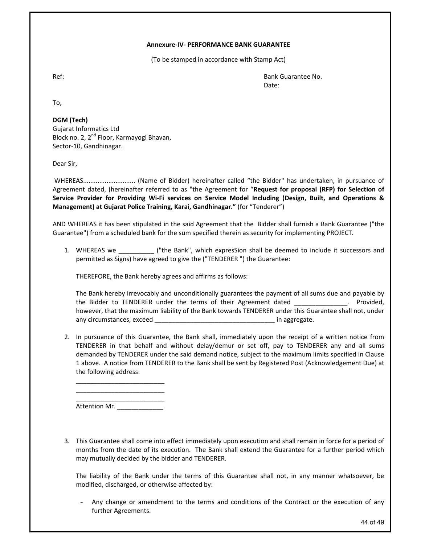#### **Annexure‐IV‐ PERFORMANCE BANK GUARANTEE**

(To be stamped in accordance with Stamp Act)

Ref: Bank Guarantee No. discussion of the contract of the contract of the Date:

To,

**DGM (Tech)**  Gujarat Informatics Ltd Block no. 2, 2<sup>nd</sup> Floor, Karmayogi Bhavan, Sector‐10, Gandhinagar.

Dear Sir,

 WHEREAS............................. (Name of Bidder) hereinafter called "the Bidder" has undertaken, in pursuance of Agreement dated, (hereinafter referred to as "the Agreement for "**Request for proposal (RFP) for Selection of Service Provider for Providing Wi‐Fi services on Service Model Including (Design, Built, and Operations & Management) at Gujarat Police Training, Karai, Gandhinagar."** (for "Tenderer")

AND WHEREAS it has been stipulated in the said Agreement that the Bidder shall furnish a Bank Guarantee ("the Guarantee") from a scheduled bank for the sum specified therein as security for implementing PROJECT.

1. WHEREAS we \_\_\_\_\_\_\_\_\_ ("the Bank", which expresSion shall be deemed to include it successors and permitted as Signs) have agreed to give the ("TENDERER ") the Guarantee:

THEREFORE, the Bank hereby agrees and affirms as follows:

The Bank hereby irrevocably and unconditionally guarantees the payment of all sums due and payable by the Bidder to TENDERER under the terms of their Agreement dated Theorem and the Bidder to Tenvided, however, that the maximum liability of the Bank towards TENDERER under this Guarantee shall not, under any circumstances, exceed \_\_\_\_\_\_\_\_\_\_\_\_\_\_\_\_\_\_\_\_\_\_\_\_\_\_\_\_\_\_\_\_\_\_ in aggregate.

2. In pursuance of this Guarantee, the Bank shall, immediately upon the receipt of a written notice from TENDERER in that behalf and without delay/demur or set off, pay to TENDERER any and all sums demanded by TENDERER under the said demand notice, subject to the maximum limits specified in Clause 1 above. A notice from TENDERER to the Bank shall be sent by Registered Post (Acknowledgement Due) at the following address:

\_\_\_\_\_\_\_\_\_\_\_\_\_\_\_\_\_\_\_\_\_\_\_\_\_ Attention Mr.

\_\_\_\_\_\_\_\_\_\_\_\_\_\_\_\_\_\_\_\_\_\_\_\_\_ \_\_\_\_\_\_\_\_\_\_\_\_\_\_\_\_\_\_\_\_\_\_\_\_\_

3. This Guarantee shall come into effect immediately upon execution and shall remain in force for a period of months from the date of its execution. The Bank shall extend the Guarantee for a further period which may mutually decided by the bidder and TENDERER.

The liability of the Bank under the terms of this Guarantee shall not, in any manner whatsoever, be modified, discharged, or otherwise affected by:

Any change or amendment to the terms and conditions of the Contract or the execution of any further Agreements.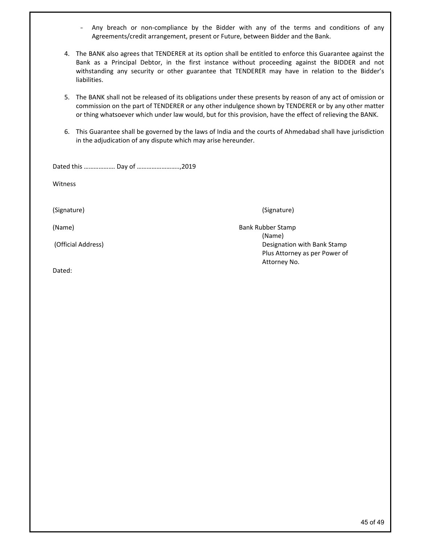- Any breach or non-compliance by the Bidder with any of the terms and conditions of any Agreements/credit arrangement, present or Future, between Bidder and the Bank.
- 4. The BANK also agrees that TENDERER at its option shall be entitled to enforce this Guarantee against the Bank as a Principal Debtor, in the first instance without proceeding against the BIDDER and not withstanding any security or other guarantee that TENDERER may have in relation to the Bidder's liabilities.
- 5. The BANK shall not be released of its obligations under these presents by reason of any act of omission or commission on the part of TENDERER or any other indulgence shown by TENDERER or by any other matter or thing whatsoever which under law would, but for this provision, have the effect of relieving the BANK.
- 6. This Guarantee shall be governed by the laws of India and the courts of Ahmedabad shall have jurisdiction in the adjudication of any dispute which may arise hereunder.

|--|--|--|

Witness

(Signature) (Signature)

Dated:

(Name) Bank Rubber Stamp (Name) (Official Address) Designation with Bank Stamp Plus Attorney as per Power of Attorney No.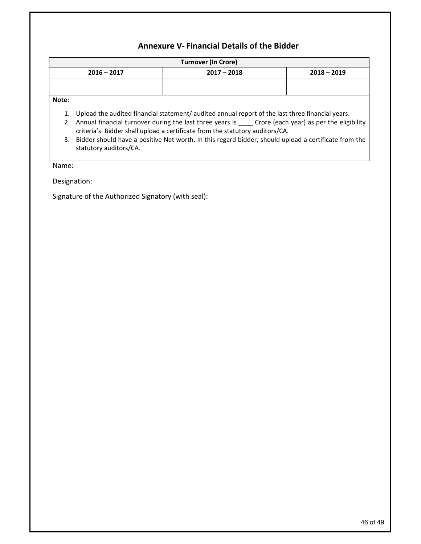#### **Annexure V‐ Financial Details of the Bidder**

| <b>Turnover (In Crore)</b>                      |  |  |  |  |  |  |
|-------------------------------------------------|--|--|--|--|--|--|
| $2018 - 2019$<br>$2016 - 2017$<br>$2017 - 2018$ |  |  |  |  |  |  |
|                                                 |  |  |  |  |  |  |
| Note:                                           |  |  |  |  |  |  |

**Note:** 

- 1. Upload the audited financial statement/ audited annual report of the last three financial years.
- 2. Annual financial turnover during the last three years is \_\_\_\_ Crore (each year) as per the eligibility criteria's. Bidder shall upload a certificate from the statutory auditors/CA.
- 3. Bidder should have a positive Net worth. In this regard bidder, should upload a certificate from the statutory auditors/CA.

Name:

Designation:

Signature of the Authorized Signatory (with seal):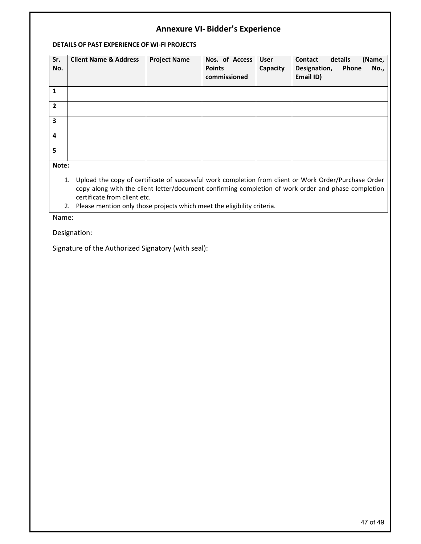### **Annexure VI‐ Bidder's Experience**

#### **DETAILS OF PAST EXPERIENCE OF WI‐FI PROJECTS**

| Sr.<br>No.              | <b>Client Name &amp; Address</b> | <b>Project Name</b> | Nos. of Access<br><b>Points</b><br>commissioned | <b>User</b><br>Capacity | (Name,<br><b>Contact</b><br>details<br>Designation,<br>Phone<br>No.,<br>Email ID) |
|-------------------------|----------------------------------|---------------------|-------------------------------------------------|-------------------------|-----------------------------------------------------------------------------------|
| 1                       |                                  |                     |                                                 |                         |                                                                                   |
| $\overline{\mathbf{2}}$ |                                  |                     |                                                 |                         |                                                                                   |
| 3                       |                                  |                     |                                                 |                         |                                                                                   |
| 4                       |                                  |                     |                                                 |                         |                                                                                   |
| 5                       |                                  |                     |                                                 |                         |                                                                                   |

**Note:** 

1. Upload the copy of certificate of successful work completion from client or Work Order/Purchase Order copy along with the client letter/document confirming completion of work order and phase completion certificate from client etc.

2. Please mention only those projects which meet the eligibility criteria.

Name:

Designation:

Signature of the Authorized Signatory (with seal):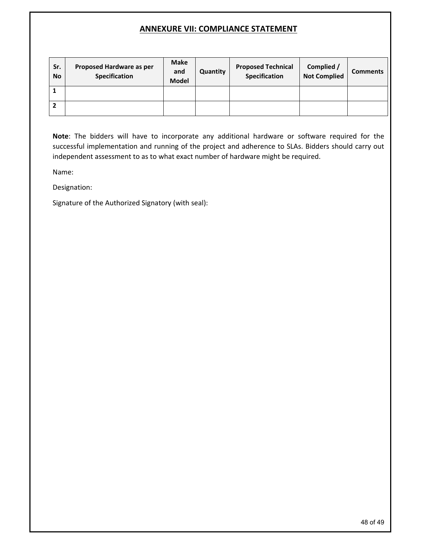#### **ANNEXURE VII: COMPLIANCE STATEMENT**

| Sr.<br><b>No</b> | Proposed Hardware as per<br>Specification | <b>Make</b><br>and<br><b>Model</b> | Quantity | <b>Proposed Technical</b><br><b>Specification</b> | Complied /<br><b>Not Complied</b> | <b>Comments</b> |
|------------------|-------------------------------------------|------------------------------------|----------|---------------------------------------------------|-----------------------------------|-----------------|
| ш                |                                           |                                    |          |                                                   |                                   |                 |
|                  |                                           |                                    |          |                                                   |                                   |                 |

Note: The bidders will have to incorporate any additional hardware or software required for the successful implementation and running of the project and adherence to SLAs. Bidders should carry out independent assessment to as to what exact number of hardware might be required.

Name:

Designation:

Signature of the Authorized Signatory (with seal):